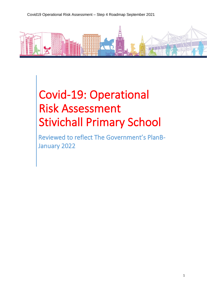

# Covid-19: Operational Risk Assessment Stivichall Primary School

Reviewed to reflect The Government's PlanB-January 2022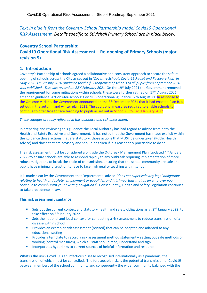# **Text in blue is from the Coventry School Partnership model Covid19 Operational** *Risk Assessment. Details specific to Stivichall Primary School are in black below.*

# **Coventry School Partnership:**

# **Covid19 Operational Risk Assessment – Re-opening of Primary Schools (major revision 5)**

## **1. Introduction:**

Coventry's Partnership of schools agreed a collaborative and consistent approach to secure the safe reopening of schools across the City as set out in *'Coventry Schools Covid-19 Re-set and Recovery Plan' in May 2020. On 2<sup>nd</sup> July 2020 guidance for the full reopening of schools to all pupils from September 2020 was published. This was revised on 22nd February 2021.* On the 19th July 2021 the Government removed the requirement for some mitigations within schools, these were further ratified on 17<sup>th</sup> August 2021 amended guidance: [Actions-for-schools: Covid19 -operational-guidance 17th August 21.](https://www.gov.uk/government/publications/actions-for-schools-during-the-coronavirus-outbreak/schools-covid-19-operational-guidance) In response to the Omicron variant, the Government announced on the 8<sup>th</sup> December 2021 that it had enacted Plan B, as set out in the autumn and winter plan 2021. The additional measures required to enable schools to continue to offer face to face teaching to pupils as set out in [Schools COVID-19 January 2022](https://assets.publishing.service.gov.uk/government/uploads/system/uploads/attachment_data/file/1044530/Schools_guidance_Jan_22.pdf)

*These changes are fully reflected in this guidance and risk assessment.*

In preparing and reviewing this guidance the Local Authority has had regard to advice from both the Health and Safety Executive and Government. It has noted that the Government has made explicit within the guidance those actions that are statutory, those actions that MUST be undertaken (Public Health Advice) and those that are advisory and should be taken if it is reasonably practicable to do so.

The risk assessment must be considered alongside the Outbreak Management Plan (updated 4th January 2022) to ensure schools are able to respond rapidly to any outbreak requiring implementation of more robust mitigations to break the chain of transmission, ensuring that the school community are safe and pupils have minimal disruption to face to face high quality teaching within school.

It is made clear by the Government that Departmental advice *"does not supersede any legal obligations relating to health and safety, employment or equalities and it is important that as an employer you continue to comply with your existing obligations".* Consequently, Health and Safety Legislation continues to take precedence in law.

#### **This risk assessment guidance:**

- $\mathbf{m}$ Sets out the current context and statutory health and safety obligations as at 2<sup>nd</sup> January 2022, to take effect on 5<sup>th</sup> January 2022.
- $\mathbf{u}$ Sets the national and local context for conducting a risk assessment to reduce transmission of a disease within school
- $\mathbf{r}$ Provides an exemplar risk assessment (revised) that can be adopted and adapted to any educational setting
- $\mathbf{u}$ Provides a template to record a risk assessment method statement – setting out safe methods of working (control measures), which all staff should read, understand and sign
- m. Incorporates hyperlinks to current sources of helpful information and resource

**What is the risk?** Covid19 is an infectious disease recognised internationally as a pandemic, the transmission of which must be controlled. The foreseeable risk, is the potential transmission of Covid19 between members of the school community and consequently the wider community balanced with the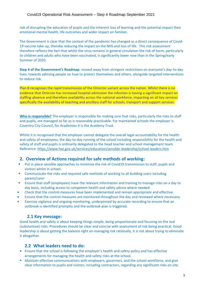risk of disrupting the education of pupils and the inherent loss of learning and the potential impact their emotional mental health, life outcomes and wider impact on families.

The Government is clear that the context of the pandemic has changed as a direct consequence of Covid-19 vaccine take-up, thereby reducing the impact on the NHS and loss of life. This risk assessment therefore reflects the fact that whilst the virus remains in general circulation the risk of harm, particularly to children and adults who have been vaccinated, is significantly lower now than in the Spring/early Summer of 2020.

**Step 4 of the Government's Roadmap**: moved away from stringent restrictions on everyone's day-to-day lives, towards advising people on how to protect themselves and others, alongside targeted interventions to reduce risk.

Plan B recognises the rapid transmission of the Omicron variant across the nation. Whilst there is no evidence that Omicron has increased hospital admission the infection is having a significant impact on staffing absence and therefore availability across the national workforce, impacting on all key services specifically the availability of teaching and ancillary staff for schools, transport and support services.

**Who is responsible?** The employer is responsible for making sure that risks, particularly the risks to staff and pupils, are managed so far as is reasonably practicable. For maintained schools the employer is Coventry City Council, for Academies it is the Academy Trust.

Whilst it is recognised that the employer cannot delegate the overall legal accountability for the health and safety of employees; the day-to-day running of the school including responsibility for the health and safety of staff and pupils is ordinarily delegated to the head teacher and school management team. Reference[: https://www.hse.gov.uk/services/education/sensible-leadership/school-leaders.htm](https://www.hse.gov.uk/services/education/sensible-leadership/school-leaders.htm)

#### **2. Overview of Actions required for safe methods of working:**

- Put in place sensible approaches to minimise the risk of Covid19 transmission to staff, pupils and ù, visitors whilst in school.
- Communicate the risks and required safe methods of working to all building users including m. parent/carer
- Ensure that staff (employees) have the relevant information and training to manage risks on a day to × day basis, including access to competent health and safety advice where needed.
- u, Check that the control measures have been implemented and remain appropriate and effective.
- × Ensure that the control measures are monitored throughout the day and reviewed where necessary.
- Exercise vigilance and ongoing monitoring, underpinned by accurate recording to ensure that an × outbreak is identified promptly and the outbreak plan is triggered.

# **2.1 Key message:**

Good health and safety is about keeping things simple, being proportionate and focusing on the real (substantive) risks. Procedures should be clear and concise with assessment of risk being practical. Good leadership is about getting the balance right on managing risk rationally, it is not about trying to eliminate it altogether.

# **2.2 What leaders need to do:**

- **Ensure that the school is following the employer's health and safety policy and has effective** arrangements for managing the health and safety risks at the school.
- Maintain effective communications with employers, governors, and the school workforce, and give clear information to pupils and visitors, including contractors, regarding any significant risks on site.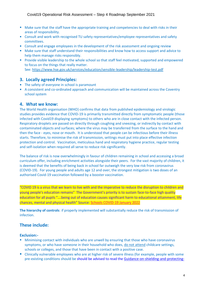- **Make sure that the staff have the appropriate training and competencies to deal with risks in their** areas of responsibility.
- Consult and work with recognised TU safety representatives/employee representatives and safety committees.
- Consult and engage employees in the development of the risk assessment and ongoing review
- Make sure that staff understand their responsibilities and know how to access support and advice to help them manage risks responsibly.
- **Provide visible leadership to the whole school so that staff feel motivated, supported and empowered** to focus on the things that really matter. See:<https://www.hse.gov.uk/services/education/sensible-leadership/leadership-test.pdf>

#### **3. Locally agreed Principles:**

- The safety of everyone in school is paramount
- A consistent and co-ordinated approach and communication will be maintained across the Coventry school system

#### **4. What we know:**

The World Health organisation (WHO) confirms that data from published epidemiology and virologic studies provides evidence that COVID-19 is primarily transmitted directly from symptomatic people (those infected with Covid19 displaying symptoms) to others who are in close contact with the infected person. Respiratory droplets are passed on directly through coughing and sneezing, or indirectly by contact with contaminated objects and surfaces; where the virus may be transferred from the surface to the hand and then the face - eyes, nose or mouth. It is understood that people can be infectious before their illness starts. Therefore, to minimise the risk of transmission, settings must put into place effective infection protection and control. Vaccination, meticulous hand and respiratory hygiene practice, regular testing and self-isolation when required all serve to reduce risk significantly.

The balance of risk is now overwhelmingly in favour of children remaining in school and accessing a broad curriculum offer, including enrichment activities alongside their peers. For the vast majority of children, it is deemed that the benefits of being back in school far outweigh the very low risk from coronavirus (COVID-19). For young people and adults age 12 and over, the strongest mitigation is two doses of an authorised Covid-19 vaccination followed by a booster vaccination.

"COVID 19 is a virus that we learn to live with and the imperative to reduce the disruption to children and young people's education remains" The Government's priority is to sustain face-to-face high quality education for all pupils "….being out of education causes significant harm to educational attainment, life chances, mental and physical health" Source: [Schools COVID-19](https://assets.publishing.service.gov.uk/government/uploads/system/uploads/attachment_data/file/1044530/Schools_guidance_Jan_22.pdf) January 2022

**The hierarchy of controls**: if properly implemented will substantially reduce the risk of transmission of infection.

# **These include:**

#### **Exclusion:-**

- **Minimising contact with individuals who are unwell by ensuring that those who have coronavirus** symptoms, or who have someone in their household who does, do not attend childcare settings, schools or colleges, and those that have been in contact with a positive case.
- Clinically vulnerable employees who are at higher risk of severe illness (for example, people with some pre-existing conditions should be should be advised to read th[e Guidance-on-shielding-and-protecting-](https://www.gov.uk/government/publications/guidance-on-shielding-and-protecting-extremely-vulnerable-persons-from-covid-19/guidance-on-shielding-and-protecting-extremely-vulnerable-persons-from-covid-19#school-college-and-other-educational-settings)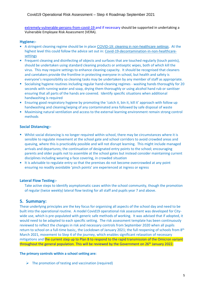[extremely-vulnerable-persons-from-covid-19](https://www.gov.uk/government/publications/guidance-on-shielding-and-protecting-extremely-vulnerable-persons-from-covid-19/guidance-on-shielding-and-protecting-extremely-vulnerable-persons-from-covid-19#school-college-and-other-educational-settings) and if necessary should be supported in undertaking a Vulnerable Employee Risk Assessment (VERA).

#### **Hygiene:-**

- A stringent cleaning regime should be in place [COVID-19: cleaning in non-healthcare settings](https://www.gov.uk/government/publications/covid-19-decontamination-in-non-healthcare-settings). At the highest level this could follow the advice set out in[: Covid-19-decontamination-in-non-healthcare](https://www.gov.uk/government/publications/covid-19-decontamination-in-non-healthcare-settings/covid-19-decontamination-in-non-healthcare-settings)[settings](https://www.gov.uk/government/publications/covid-19-decontamination-in-non-healthcare-settings/covid-19-decontamination-in-non-healthcare-settings)
- Frequent cleaning and disinfecting of objects and surfaces that are touched regularly (touch points), should be undertaken using standard cleaning products or antiseptic wipes, both of which kill the virus. This may require settings to enhance cleaning capacity. It should be recognised that cleaners and caretakers provide the frontline in protecting everyone in school, but health and safety is everyone's responsibility so cleaning tasks may be undertaken by any member of staff as appropriate.
- **Socialising hygiene routines including regular hand-cleaning regimes washing hands thoroughly for 20** seconds with running water and soap, drying them thoroughly or using alcohol hand rub or sanitiser ensuring that all parts of the hands are covered. Identify specific situations when additional handwashing is required
- Ensuring good respiratory hygiene by promoting the 'catch it, bin it, kill it' approach with follow up handwashing and cleaning/wiping of any contaminated area followed by safe disposal of waste
- Maximising natural ventilation and access to the external learning environment remain strong control methods

#### **Social Distancing:-**

- Whilst social distancing is no longer required within school, there may be circumstances where it is sensible to regulate movement at the school gate and school corridors to avoid crowded areas and queuing, where this is practicably possible and will not disrupt learning. This might include managed arrivals and departures; the continuation of designated entry points to the school; encouraging parents and older pupils not to assemble at the school gates but instead consider maintaining current disciplines including wearing a face covering, in crowded situation
- It is advisable to regulate entry so that the premises do not become overcrowded at any point ensuring no readily avoidable 'pinch points' are experienced at ingress or egress

#### **Lateral Flow Testing:-**

Take active steps to identify asymptomatic cases within the school community, though the promotion of regular (twice weekly) lateral flow testing for all staff and pupils year 7 and above.

#### **5. Summary:**

These underlying principles are the key focus for organising all aspects of the school day and need to be built into the operational routine. A model Covid19 operational risk assessment was developed for Citywide use, which is pre-populated with generic safe methods of working. It was advised that if adopted, it would need to be adapted to each specific setting. The risk assessment template has been continuously reviewed to reflect the changes in risk and necessary controls from September 2020 when all pupils return to school on a full-time basis;, the Lockdown of January 2021; the full reopening of schools from 8<sup>th</sup> March 2021, movement to Step 4 of the journey, which enables significant relaxation of necessary mitigations and the current step up to Plan B to respond to the rapid transmission of the Omicron variant throughout the general population. This will be reviewed by the Government on 26<sup>th</sup> January 2022.

#### **The primary controls within a school setting are:**

 $\triangleright$  The promotion of testing and vaccination (required)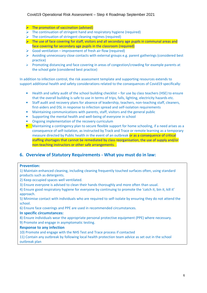## Covid19 Operational Risk Assessment – Step 4 Roadmap September 2021

- $\triangleright$  The promotion of vaccination (advised)
- $\triangleright$  The continuation of stringent hand and respiratory hygiene (required)
- $\triangleright$  The continuation of stringent cleaning regimes (required)
- $\triangleright$  The use of face covering for staff, visitors and all secondary age pupils in communal areas and face covering for secondary age pupils in the classroom (required)
- $\triangleright$  Good ventilation improvement of fresh air flow (required)
- $\triangleright$  Avoiding unnecessary close contacts with external groups e.g. parent gatherings (considered best practice)
- $\triangleright$  Promoting distancing and face covering in areas of congestion/crowding for example parents at the school gate (considered best practice)

In addition to infection control, the risk assessment template and supporting resources extends to support additional health and safety considerations related to the consequences of Covid19 specifically:

- Health and safety audit of the school building checklist for use by class teachers (HSE) to ensure Î. that the overall building is safe to use in terms of trips, falls, lighting, electricity hazards etc.
- à. Staff audit and recovery plans for absence of leadership, teachers, non-teaching staff, cleaners, first-aiders and DSL in response to infection spread and self-isolation requirements
- $\mathbf{r}$ Maintaining communications with parents, staff, visitors and the general public
- ×. Supporting the mental health and well-being of everyone in school
- Ongoing implementation of the recovery curriculum
- Maintaining a contingency plan to secure flexible support for home schooling, if a need arises as a consequence of self-isolation, as instructed by Track and Trace or remote learning as a temporary measure directed by Public health in the event of an outbreak or as a consequence of critical staffing shortages that cannot be remediated by class reorganisation, the use of supply and/or non-teaching instructors or other safe arrangements. .

# **6. Overview of Statutory Requirements - What you must do in law:**

#### **Prevention:**

1) Maintain enhanced cleaning, including cleaning frequently touched surfaces often, using standard products such as detergents.

- 2) Keep occupied spaces well ventilated.
- 3) Ensure everyone is advised to clean their hands thoroughly and more often than usual.
- 4) Ensure good respiratory hygiene for everyone by continuing to promote the 'catch it, bin it, kill it' approach.

5) Minimise contact with individuals who are required to self-isolate by ensuring they do not attend the school.

6) Ensure face coverings and PPE are used in recommended circumstances.

#### **In specific circumstances:**

8) Ensure individuals wear the appropriate personal protective equipment (PPE) where necessary.

9) Promote and engage in asymptomatic testing.

#### **Response to any infection**

10) Promote and engage with the NHS Test and Trace process if contacted

11) Contain any outbreak by following local health protection team advice as set out in the school outbreak plan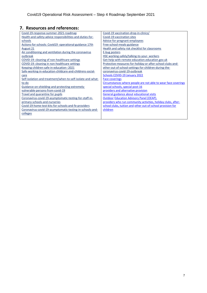# **7. Resources and references:**

| Covid-19-response-summer-2021-roadmap                       | Covid-19 vaccination-drop-in-clinics/                          |
|-------------------------------------------------------------|----------------------------------------------------------------|
| Health-and-safety-advice responsibilities-and-duties-for-   | Covid-19-vaccination sites                                     |
| schools                                                     | Advice-for-pregnant-employees                                  |
| Actions-for-schools: Covid19 -operational-guidance 17th     | Free-school-meals-guidance                                     |
| August 21                                                   | Health and safety risk checklist for classrooms                |
| Air conditioning and ventilation during the coronavirus     | E-bug posters                                                  |
| outbreak                                                    | HSE working-safely/talking-to-your-workers                     |
| COVID-19: cleaning of non-healthcare settings               | Get-help-with-remote-education.education.gov.uk                |
| COVID-19: cleaning in non-healthcare settings               | Protective-measures-for-holiday-or-after-school-clubs-and-     |
| Keeping-children-safe-in-education--2021                    | other-out-of-school-settings-for-children-during-the-          |
| Safe-working-in-education-childcare-and-childrens-social-   | coronavirus-covid-19-outbreak                                  |
| care                                                        | Schools COVID-19 January 2022                                  |
| Self-isolation-and-treatment/when-to-self-isolate-and-what- | <b>Face coverings</b>                                          |
| to-do                                                       | Circumstances where people are not able to wear face coverings |
| Guidance-on-shielding-and-protecting-extremely-             | special schools, special post-16                               |
| vulnerable-persons-from-covid-19                            | providers and alternative provision                            |
| Travel and quarantine for pupils                            | General guidance about educational visits                      |
| Coronavirus-covid-19-asymptomatic-testing-for-staff-in-     | <b>Outdoor Education Advisory Panel (OEAP).</b>                |
| primary-schools-and-nurseries                               | providers who run community activities, holiday clubs, after-  |
| Covid-19-home-test-kits-for-schools-and-fe-providers        | school clubs, tuition and other out-of-school provision for    |
| Coronavirus-covid-19-asymptomatic-testing-in-schools-and-   | children                                                       |
| colleges                                                    |                                                                |
|                                                             |                                                                |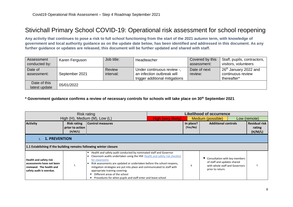# Stivichall Primary School COVID-19: Operational risk assessment for school reopening

**Any activity that continues to pose a risk to full school functioning from the start of the 2021 autumn term, with knowledge of government and local authority guidance as on the update date below, has been identified and addressed in this document. As any further guidance or updates are released, this document will be further updated and shared with staff.**

| Assessment<br>conducted by:   | Karen Ferguson | Job title:                 | Headteacher                                                                                | Covered by this<br>assessment: | Staff, pupils, contractors,<br>visitors, volunteers                   |
|-------------------------------|----------------|----------------------------|--------------------------------------------------------------------------------------------|--------------------------------|-----------------------------------------------------------------------|
| Date of<br>assessment:        | September 2021 | <b>Review</b><br>interval: | Under continuous review -,<br>an infection outbreak will<br>trigger additional mitigations | Date of next<br>review:        | 26 <sup>th</sup> January 2022 and<br>continuous review<br>thereafter* |
| Date of this<br>latest update | 05/01/2022     |                            |                                                                                            |                                |                                                                       |

#### **\* Government guidance confirms a review of necessary controls for schools will take place on 30th September 2021**

| Risk rating                                                                                                 |                                                  |                                                                                                                                                                                                                                                                                                                                                                                                                                                         | <b>Likelihood of occurrence</b> |                       |                                                                                                                    |  |                                           |
|-------------------------------------------------------------------------------------------------------------|--------------------------------------------------|---------------------------------------------------------------------------------------------------------------------------------------------------------------------------------------------------------------------------------------------------------------------------------------------------------------------------------------------------------------------------------------------------------------------------------------------------------|---------------------------------|-----------------------|--------------------------------------------------------------------------------------------------------------------|--|-------------------------------------------|
|                                                                                                             |                                                  | High (H), Medium (M), Low (L)                                                                                                                                                                                                                                                                                                                                                                                                                           | High (very likely)              |                       | Medium (possible)                                                                                                  |  | Low (remote)                              |
| <b>Activity</b>                                                                                             | <b>Risk rating</b><br>prior to action<br>(H/M/L) | <b>Control measures</b>                                                                                                                                                                                                                                                                                                                                                                                                                                 |                                 | In place?<br>(Yes/No) | <b>Additional controls</b>                                                                                         |  | <b>Residual risk</b><br>rating<br>(H/M/L) |
| <b>1. PREVENTION</b>                                                                                        |                                                  |                                                                                                                                                                                                                                                                                                                                                                                                                                                         |                                 |                       |                                                                                                                    |  |                                           |
| 1.1 Establishing if the building remains following winter closure                                           |                                                  |                                                                                                                                                                                                                                                                                                                                                                                                                                                         |                                 |                       |                                                                                                                    |  |                                           |
| Health and safety risk<br>assessments have not been<br>reviewed. The health and<br>safety audit is overdue. |                                                  | Health and safety audit conducted by nominated staff and Governor<br>Classroom audits undertaken using the HSE Health and safety risk checklist<br>for classrooms<br>Risk assessments are updated or undertaken before the school reopens,<br>mitigation strategies are put into place and communicated to staff with<br>appropriate training covering:<br>Different areas of the school<br>Procedures for when pupils and staff enter and leave school |                                 |                       | Consultation with key members<br>of staff and updates shared<br>with whole staff and Governors<br>prior to return. |  |                                           |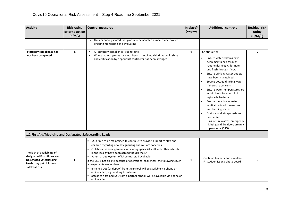| <b>Activity</b>                                                                                                                            | <b>Risk rating</b><br>prior to action<br>(H/M/L) | <b>Control measures</b>                                                                                                                                                                                                                                                                                                                                                                                                                                                                                                                                                                                                                                         | In place?<br>(Yes/No) | <b>Additional controls</b>                                                                                                                                                                                                                                                                                                                                                                                                                                                                                                                                                                                | <b>Residual risk</b><br>rating<br>(H/M/L) |
|--------------------------------------------------------------------------------------------------------------------------------------------|--------------------------------------------------|-----------------------------------------------------------------------------------------------------------------------------------------------------------------------------------------------------------------------------------------------------------------------------------------------------------------------------------------------------------------------------------------------------------------------------------------------------------------------------------------------------------------------------------------------------------------------------------------------------------------------------------------------------------------|-----------------------|-----------------------------------------------------------------------------------------------------------------------------------------------------------------------------------------------------------------------------------------------------------------------------------------------------------------------------------------------------------------------------------------------------------------------------------------------------------------------------------------------------------------------------------------------------------------------------------------------------------|-------------------------------------------|
|                                                                                                                                            |                                                  | " Understanding shared that plan is to be adapted as necessary through<br>ongoing monitoring and evaluating                                                                                                                                                                                                                                                                                                                                                                                                                                                                                                                                                     |                       |                                                                                                                                                                                                                                                                                                                                                                                                                                                                                                                                                                                                           |                                           |
| <b>Statutory compliance has</b><br>not been completed                                                                                      | L                                                | All statutory compliance is up to date.<br>Where water systems have not been maintained chlorination, flushing<br>and certification by a specialist contractor has been arranged.                                                                                                                                                                                                                                                                                                                                                                                                                                                                               | y                     | Continue to:<br>Ensure water systems have<br>been maintained through<br>routine flushing. Chlorinate<br>and flush through if not.<br>Ensure drinking water outlets<br>$\bullet$<br>have been maintained.<br>Source bottled drinking water<br>if there are concerns.<br>Ensure water temperatures are<br>within limits for control of<br>legionella bacteria.<br>Ensure there is adequate<br>$\bullet$<br>ventilation in all classrooms<br>and learning spaces.<br>Drains and drainage systems to<br>be checked<br>Ensure fire alarms, emergency<br>lighting and fire doors are fully<br>operational (SSO) | $\mathbf{L}$                              |
| 1.2 First Aid/Medicine and Designated Safeguarding Leads                                                                                   |                                                  |                                                                                                                                                                                                                                                                                                                                                                                                                                                                                                                                                                                                                                                                 |                       |                                                                                                                                                                                                                                                                                                                                                                                                                                                                                                                                                                                                           |                                           |
| The lack of availability of<br>designated First Aiders and<br><b>Designated Safeguarding</b><br>Leads may put children's<br>safety at risk | L                                                | DSLs time to be maintained to continue to provide support to staff and<br>children regarding new safeguarding and welfare concerns<br>Collaborative arrangements for sharing specialist staff with other schools<br>in the locality have been agreed though the LA<br>Potential deployment of LA central staff available<br>If the DSL is not on site because of operational challenges, the following cover<br>arrangements are in place:<br>a trained DSL (or deputy) from the school will be available via phone or<br>online video, e.g. working from home<br>access to a trained DSL from a partner school, will be available via phone or<br>online video | у                     | Continue to check and maintain<br>First Aider list and photo board                                                                                                                                                                                                                                                                                                                                                                                                                                                                                                                                        |                                           |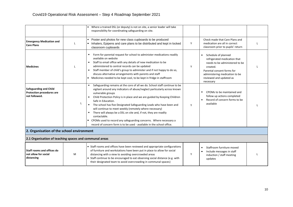|                                                                                    |   | Where a trained DSL (or deputy) is not on site, a senior leader will take<br>responsibility for coordinating safeguarding on site.                                                                                                                                                                                                                                                                                                                                                                                                                                                                                                                                       |   |                                                                                                                                                                                                                             |  |
|------------------------------------------------------------------------------------|---|--------------------------------------------------------------------------------------------------------------------------------------------------------------------------------------------------------------------------------------------------------------------------------------------------------------------------------------------------------------------------------------------------------------------------------------------------------------------------------------------------------------------------------------------------------------------------------------------------------------------------------------------------------------------------|---|-----------------------------------------------------------------------------------------------------------------------------------------------------------------------------------------------------------------------------|--|
| <b>Emergency Medication and</b><br><b>Care Plans</b>                               | L | Poster and photos for new class cupboards to be produced<br>Inhalers, Epipens and care plans to be distributed and kept in locked<br>classroom cupboards                                                                                                                                                                                                                                                                                                                                                                                                                                                                                                                 | Y | Check made that Care Plans and<br>medication are all in correct<br>classroom prior to pupils' return                                                                                                                        |  |
| <b>Medicines</b>                                                                   |   | Form for parental request for school to administer medications readily<br>available on website<br>Staff to email office with any details of new medication to be<br>administered to central records can be updated<br>Staff member of child's group to administer and if not happy to do so,<br>discuss alternative arrangements with parents and staff<br>Medicines needed to be kept cool, to be kept in fridge in staffroom<br>۰.                                                                                                                                                                                                                                     | Y | Schedule of planned<br>$\blacksquare$<br>refrigerated medication that<br>needs to be administered to be<br>created.<br>Parental consent forms for<br>administering medication to be<br>reviewed and updated as<br>necessary |  |
| <b>Safeguarding and Child</b><br><b>Protection procedures are</b><br>not followed. | L | Safeguarding remains at the core of all we do. School staff continue to be<br>vigilant around any indicators of abuse/neglect particularly across known<br>vulnerable groups<br>Child Protection Policy is in place and we are guided by Keeping Children<br>$\blacksquare$<br>Safe in Education.<br>• The school has five Designated Safeguarding Leads who have been and<br>will continue to meet weekly (remotely where necessary)<br>There will always be a DSL on site and, if not, they are readily<br>contactable.<br>CPOMs used to record any safeguarding concerns. Where necessary a<br>record of concern form is to be used - available in the school office. | Y | CPOMs to be maintained and<br>follow up actions completed<br>Record of concern forms to be<br>available                                                                                                                     |  |
| 2. Organisation of the school environment                                          |   |                                                                                                                                                                                                                                                                                                                                                                                                                                                                                                                                                                                                                                                                          |   |                                                                                                                                                                                                                             |  |
| 2.1 Organisation of teaching spaces and communal areas                             |   |                                                                                                                                                                                                                                                                                                                                                                                                                                                                                                                                                                                                                                                                          |   |                                                                                                                                                                                                                             |  |
| Staff rooms and offices do<br>not allow for social<br>distancing                   | M | ■ Staff rooms and offices have been reviewed and appropriate configurations<br>of furniture and workstations have been put in place to allow for social<br>distancing with a view to avoiding overcrowded areas<br>Staff continue to be encouraged to eat observing social distance (e.g. with<br>their designated team to avoid overcrowding in communal spaces)                                                                                                                                                                                                                                                                                                        | Y | Staffroom furniture moved<br>$\blacksquare$<br>Include messages in staff<br>$\blacksquare$<br>induction / staff meeting<br>updates                                                                                          |  |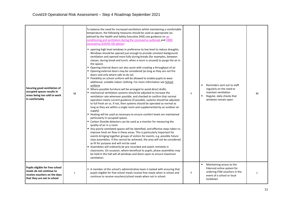| Securing good ventilation of<br>occupied spaces results in<br>areas being too cold to work<br>in comfortably               | M | To balance the need for increased ventilation whilst maintaining a comfortable<br>temperature, the following measures should be used as appropriate (as<br>advised by the Health and Safety Executive (HSE) see guidance on air<br>conditioning and ventilation during the coronavirus outbreak and CIBSE<br>coronavirus (COVID-19) advice):<br>• opening high level windows in preference to low level to reduce draughts.<br>Windows should be opened just enough to provide constant background<br>ventilation and opened more fully during breaks (for examples, between<br>classes, during break and lunch, when a room is unused) to purge the air in<br>the space).<br>• Opening internal doors can also assist with creating a throughput of air<br>• Opening external doors may be considered (as long as they are not fire<br>doors and only where safe to do so)<br>" Flexibility on school uniform will be allowed to enable pupils to wear<br>additional, suitable indoor clothing. For more information see School<br>uniform<br>■ Where possible furniture will be arranged to avoid direct drafts<br>mechanical ventilation systems should be adjusted to increase the<br>ventilation rate wherever possible, and checked to confirm that normal<br>operation meets current guidance (if possible, systems should be adjusted<br>to full fresh air or, if not, then systems should be operated as normal as<br>long as they are within a single room and supplemented by an outdoor air<br>supply)<br>■ Heating will be used as necessary to ensure comfort levels are maintained<br>particularly in occupied spaces<br>" Carbon Dioxide detectors can be used as a monitor for measuring the<br>quality of air in a room<br>Any poorly ventilated spaces will be identified, and effective steps taken to<br>improve fresh air flow in these areas. This is particularly important for<br>events bringing together groups of visitors for events, e.g. possible future<br>class assemblies. If this cannot be achieved, the area will not be considered<br>as fit for purpose and will not be used<br>Assemblies will ordinarily be pre-recorded and watch remotely in<br>classrooms. On occasion, where beneficial to pupils, phase assemblies may<br>be held in the hall will all windows and doors open to ensure maximum<br>ventilation. | Y | Reminders sent out to staff<br>$\blacksquare$<br>regularly on the need to<br>maintain ventilation<br>$\blacksquare$<br>Regular, daily checks that<br>windows remain open | M |
|----------------------------------------------------------------------------------------------------------------------------|---|---------------------------------------------------------------------------------------------------------------------------------------------------------------------------------------------------------------------------------------------------------------------------------------------------------------------------------------------------------------------------------------------------------------------------------------------------------------------------------------------------------------------------------------------------------------------------------------------------------------------------------------------------------------------------------------------------------------------------------------------------------------------------------------------------------------------------------------------------------------------------------------------------------------------------------------------------------------------------------------------------------------------------------------------------------------------------------------------------------------------------------------------------------------------------------------------------------------------------------------------------------------------------------------------------------------------------------------------------------------------------------------------------------------------------------------------------------------------------------------------------------------------------------------------------------------------------------------------------------------------------------------------------------------------------------------------------------------------------------------------------------------------------------------------------------------------------------------------------------------------------------------------------------------------------------------------------------------------------------------------------------------------------------------------------------------------------------------------------------------------------------------------------------------------------------------------------------------------------------------------------------------------------------------------------------------------------------------------------------------|---|--------------------------------------------------------------------------------------------------------------------------------------------------------------------------|---|
| Pupils eligible for free school<br>meals do not continue to<br>receive vouchers on the days<br>that they are not in school | L | A member of the school's administrative team is tasked with ensuring that<br>pupils eligible for free school meals receive free meals when in school and<br>continue to receive vouchers/school meals when not in school.                                                                                                                                                                                                                                                                                                                                                                                                                                                                                                                                                                                                                                                                                                                                                                                                                                                                                                                                                                                                                                                                                                                                                                                                                                                                                                                                                                                                                                                                                                                                                                                                                                                                                                                                                                                                                                                                                                                                                                                                                                                                                                                                     | Y | Maintaining access to the<br>Edenred online system for<br>ordering FSM vouchers in the<br>event of a school or local<br>lockdown.                                        |   |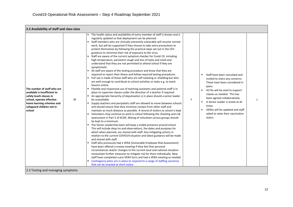| 2.2 Availability of staff and class sizes                                                                                                                                               |   |                                                                                                                                                                                                                                                                                                                                                                                                                                                                                                                                                                                                                                                                                                                                                                                                                                                                                                                                                                                                                                                                                                                                                                                                                                                                                                                                                                                                                                                                                                                                                                                                                                                                                                                                                                                                                                                                                                                                                                                                                                                                                                                                                                                                                                                                                                                                                                                                                                                                                                                                                  |   |                                                                                                                                                                                                                                                                                                                                             |  |
|-----------------------------------------------------------------------------------------------------------------------------------------------------------------------------------------|---|--------------------------------------------------------------------------------------------------------------------------------------------------------------------------------------------------------------------------------------------------------------------------------------------------------------------------------------------------------------------------------------------------------------------------------------------------------------------------------------------------------------------------------------------------------------------------------------------------------------------------------------------------------------------------------------------------------------------------------------------------------------------------------------------------------------------------------------------------------------------------------------------------------------------------------------------------------------------------------------------------------------------------------------------------------------------------------------------------------------------------------------------------------------------------------------------------------------------------------------------------------------------------------------------------------------------------------------------------------------------------------------------------------------------------------------------------------------------------------------------------------------------------------------------------------------------------------------------------------------------------------------------------------------------------------------------------------------------------------------------------------------------------------------------------------------------------------------------------------------------------------------------------------------------------------------------------------------------------------------------------------------------------------------------------------------------------------------------------------------------------------------------------------------------------------------------------------------------------------------------------------------------------------------------------------------------------------------------------------------------------------------------------------------------------------------------------------------------------------------------------------------------------------------------------|---|---------------------------------------------------------------------------------------------------------------------------------------------------------------------------------------------------------------------------------------------------------------------------------------------------------------------------------------------|--|
| The number of staff who are<br>available is insufficient to<br>safely teach classes in<br>school, operate effective<br>home learning schemes and<br>safeguard children not in<br>school | M | The health status and availability of every member of staff is known and is<br>٠<br>regularly updated so that deployment can be planned.<br>" Staff members who are clinically extremely vulnerable will resume normal<br>work, but will be supported if they choose to take extra precautions to<br>protect themselves by following the practical steps set out in the CEV<br>guidance to minimise their risk of exposure to the virus.<br>Staff are aware of the current symptom checker for Covid-19, including<br>high temperature, persistent cough and loss of taste and smell and<br>understand that they are not permitted to attend school if they are<br>symptomatic<br>• All staff are aware of the testing procedure and know that they are<br>required to report their illness and follow required testing procedures<br>Full use is made of those staff who are self-isolating or shielding but who<br>are well enough to contribute to school activities or tasks e.g. to teach<br>lessons online.<br>" Flexible and responsive use of teaching assistants and pastoral staff is in<br>place to supervise classes under the direction of a teacher if required<br>An appropriate hierarchy of deputisation is in place should a senior leader<br>be unavailable.<br>" Supply teachers and peripatetic staff are allowed to move between schools<br>and should ensure that they minimise contact from other staff and<br>maintain as much distance as possible. A record of visitors to school is kept<br>• Volunteers may continue to work in school following the checking and risk<br>assessment in Part 3 of KCSIE. Mixing of volunteers across groups should<br>be kept to a minimum.<br>" The Senior Leadership team will keep a visible presence around school.<br>This will include drop ins and observations, the dates and purposes for<br>which when planned, are shared with staff. Any mitigating actions in<br>relation to the current COVID19 situation and latest guidance will be made<br>and shared with staff.<br>Staff who previously had a VERA (Vulnerable Employee Risk Assessment)<br>have been offered a review meeting if they feel that personal<br>circumstances and/or changes to the current local and national situation<br>necessitate further measures to mitigate risk for them individually. New<br>staff have completed a pre-VERA form and had a VERA meeting as needed.<br>Contingency plans are in place to respond to a range of staffing scenarios<br>that can be enacted at short notice | Y | Staff have been consulted and<br>invited to share any concerns.<br>These have been considered in<br>plans<br>HLTAs will be used to support<br>classes as needed. This has<br>been agreed collaboratively<br>A Senior Leader is onsite at all<br>п<br>times<br>VERAs will be updated and staff<br>asked to state their vaccination<br>status |  |
| 2.3 Testing and managing symptoms                                                                                                                                                       |   |                                                                                                                                                                                                                                                                                                                                                                                                                                                                                                                                                                                                                                                                                                                                                                                                                                                                                                                                                                                                                                                                                                                                                                                                                                                                                                                                                                                                                                                                                                                                                                                                                                                                                                                                                                                                                                                                                                                                                                                                                                                                                                                                                                                                                                                                                                                                                                                                                                                                                                                                                  |   |                                                                                                                                                                                                                                                                                                                                             |  |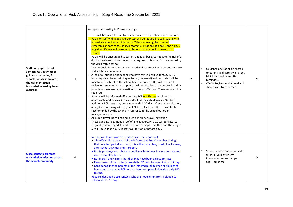| Staff and pupils do not<br>conform to Government<br>guidance on testing for<br>schools, which stimulates<br>the risk of infection<br>transmission leading to an<br>outbreak | H | Asymptomatic testing in Primary settings:<br>" LFTs will be issued to staff to enable twice weekly testing when required.<br>Pupils or staff with a positive LFD test will be required to self-isolate with<br>immediate effect for a minimum of 7 days following the onset of<br>symptoms or date of test if asymptomatic. Evidence of a day 6 and a day 7<br>negative LFD test will be required before healthy pupils can return to<br>school.<br>Pupils will be encouraged to test on a regular basis, to mitigate the risk of a<br>٠<br>doubly vaccinated close contact, not required to isolate, from transmitting<br>the virus within school<br>• The rationale for testing will be shared and reinforced with parents and the<br>wider school community.<br>A log of all pupils in the school who have tested positive for COVID-19<br>including dates for onset of symptoms (if relevant) and test dates will be<br>maintained, subject to the school being informed. This will be used to<br>review transmission rates, support the identification of an outbreak and to<br>provide any necessary information to the NHS Test and Trace service if it is<br>required<br>Parents will be informed off a positive PCR or LFD test in school as<br>appropriate and be asked to consider that their child takes a PCR test<br>additional PCR tests may be recommended 4-7 days after that notification,<br>alongside continuing with regular LFT tests. Further actions may also be<br>recommended by the LA and in reference to the school outbreak<br>management plan<br>All pupils travelling to England must adhere to travel legislation<br>Those aged 11 to 17 need proof of a negative COVID-19 test to travel to<br>England (children aged 10 and under are exempt from this) and those aged<br>5 to 17 must take a COVID-19 travel test on or before day 2. | Y | Guidance and rationale shared<br>to parents and carers via Parent<br>Mail letter and newsletter<br>reminders<br>COVID Register maintained and<br>$\blacksquare$<br>shared with LA as agreed | M |
|-----------------------------------------------------------------------------------------------------------------------------------------------------------------------------|---|---------------------------------------------------------------------------------------------------------------------------------------------------------------------------------------------------------------------------------------------------------------------------------------------------------------------------------------------------------------------------------------------------------------------------------------------------------------------------------------------------------------------------------------------------------------------------------------------------------------------------------------------------------------------------------------------------------------------------------------------------------------------------------------------------------------------------------------------------------------------------------------------------------------------------------------------------------------------------------------------------------------------------------------------------------------------------------------------------------------------------------------------------------------------------------------------------------------------------------------------------------------------------------------------------------------------------------------------------------------------------------------------------------------------------------------------------------------------------------------------------------------------------------------------------------------------------------------------------------------------------------------------------------------------------------------------------------------------------------------------------------------------------------------------------------------------------------------------------------------------------|---|---------------------------------------------------------------------------------------------------------------------------------------------------------------------------------------------|---|
| <b>Close contacts promote</b><br>transmission infection across<br>the school community                                                                                      | H | In response to all Covid-19 positive case, the school will:<br>• identify all close contacts of the infected pupil/staff member during<br>their infected period in school, this will include class, break, lunch-times,<br>after school activities and transport<br>• Notify parents/carers that the pupil may have been in close contact and<br>issue a template letter<br>• Notify staff and visitors that they may have been a close contact<br>• Recommend close contacts take daily LFD tests for a minimum of 7 days<br>• Consider asking the parents of the infected pupil to keep all siblings at<br>home until a negative PCR test has been completed alongside daily LFD<br>testing.<br>Require identified close contacts who are not exempt from isolation to<br>self-isolate for 10 days                                                                                                                                                                                                                                                                                                                                                                                                                                                                                                                                                                                                                                                                                                                                                                                                                                                                                                                                                                                                                                                                      | Y | School Leaders and office staff<br>to check validity of any<br>information request as per<br>GDPR guidance                                                                                  | M |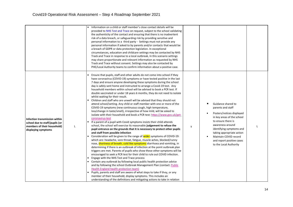|                                                                                                                       |   | Information on a child or staff member's close contact details will be<br>provided to NHS Test and Trace on request, subject to the school validating<br>the authenticity of the contact and ensuring that there is no inadvertent<br>risk of a data breach, or safeguarding risk by providing sensitive and<br>personal information to a third party - Settings must not provide any<br>personal information if asked to by parents and/or contacts that would be<br>a breach of GDPR or data protection legislation. In exceptional<br>circumstances, education and childcare settings may be contacted by NHS<br>Track and Trace in response to a local outbreak, In this scenario settings<br>may share proportionate and relevant information as requested by NHS<br>Track and Trace without consent. Settings may also be contacted by<br>PHE/Local Authority teams to confirm information about a positive case.                                                                                                                                                                                                                                                                                                                                                                                                                                                                                                                                                                                                                                                                                                                                                                                                                                                                                                                                                                                                                                                                                                                                                                                                         |   |                                                                                                                                                                                                                                                                                       |  |
|-----------------------------------------------------------------------------------------------------------------------|---|---------------------------------------------------------------------------------------------------------------------------------------------------------------------------------------------------------------------------------------------------------------------------------------------------------------------------------------------------------------------------------------------------------------------------------------------------------------------------------------------------------------------------------------------------------------------------------------------------------------------------------------------------------------------------------------------------------------------------------------------------------------------------------------------------------------------------------------------------------------------------------------------------------------------------------------------------------------------------------------------------------------------------------------------------------------------------------------------------------------------------------------------------------------------------------------------------------------------------------------------------------------------------------------------------------------------------------------------------------------------------------------------------------------------------------------------------------------------------------------------------------------------------------------------------------------------------------------------------------------------------------------------------------------------------------------------------------------------------------------------------------------------------------------------------------------------------------------------------------------------------------------------------------------------------------------------------------------------------------------------------------------------------------------------------------------------------------------------------------------------------------|---|---------------------------------------------------------------------------------------------------------------------------------------------------------------------------------------------------------------------------------------------------------------------------------------|--|
| Infection transmission within<br>school due to staff/pupils (or<br>members of their household)<br>displaying symptoms | L | Ensure that pupils, staff and other adults do not come into school if they<br>have coronavirus (COVID-19) symptoms or have tested positive in the last<br>7 days and ensure anyone developing these symptoms during the school<br>day is safely sent home and instructed to arrange a Covid-19 test. Any<br>household members within school will be advised to book a PCR test. If<br>double vaccinated or under 18 years 6 months, they do not need to isolate<br>whilst waiting for their result.<br>Children and staff who are unwell will be advised that they should not<br>attend school/setting. Any child or staff member with one or more of the<br>COVID-19 symptoms (new continuous cough, high temperature,<br>loss/change in taste/smell), irrespective of how mild, will be asked to<br>isolate with their household and book a PCR test: https://www.gov.uk/get-<br>coronavirus-test<br>If a parent of a pupil with Covid symptoms insists their child attends<br>school, the school will exercise its reasonable judgement to refuse the<br>pupil entrance on the grounds that it is necessary to protect other pupils<br>and staff from possible infection<br>Consideration will be given to the range of wider symptoms of COVID-19:<br>which are: headache, sore throat, fatigue, muscle aches, blocked/runny<br>nose, shortness of breath, cold like symptoms diarrhoea and vomiting, in<br>determining if there is an outbreak of infection at the point outbreak plan<br>triggers are met. Parents of pupils who show these other symptoms will be<br>encouraged to seek a PCR test for their child to rule out COVID infection.<br>Engage with the NHS Test and Trace process<br>Contain any outbreak by following local public health protection advice<br>and by following the school Outbreak Management Plan (contact: Public<br>Health England health protection team)<br>Pupils, parents and staff are aware of what steps to take if they, or any<br>member of their household, display symptoms. This includes an<br>understanding of the definitions and mitigating actions to take in relation | y | Guidance shared to<br>parents and staff<br>Posters/notices displayed<br>in key areas of the school<br>to ensure there is<br>awareness around<br>identifying symptoms and<br>taking appropriate action<br>Maintain COVID record<br>and report positive cases<br>to the Local Authority |  |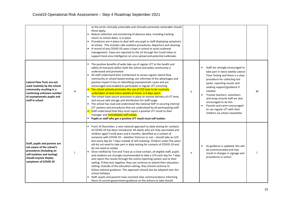|                                                                                                                                                                             |              | to the terms clinically vulnerable and clinically extremely vulnerable should<br>these apply.<br>Robust collection and monitoring of absence data, including tracking<br>return to school dates, is in place<br>" Procedures are in place to deal with any pupil or staff displaying symptoms<br>at school. This includes safe isolation procedures, departure and cleaning.<br>A record of any COVID-19 cases is kept in school to assist outbreak<br>management. Cases are reported to the LA through the Covid-inbox to<br>support local area intelligence on virus spread and potential outbreaks.                                                                                                                                                                                                                                                                                                                                                                                                                                                                                                                                   |   |                                                                                                                                                                                                                                                                                                                                                                                                                                                 |   |
|-----------------------------------------------------------------------------------------------------------------------------------------------------------------------------|--------------|------------------------------------------------------------------------------------------------------------------------------------------------------------------------------------------------------------------------------------------------------------------------------------------------------------------------------------------------------------------------------------------------------------------------------------------------------------------------------------------------------------------------------------------------------------------------------------------------------------------------------------------------------------------------------------------------------------------------------------------------------------------------------------------------------------------------------------------------------------------------------------------------------------------------------------------------------------------------------------------------------------------------------------------------------------------------------------------------------------------------------------------|---|-------------------------------------------------------------------------------------------------------------------------------------------------------------------------------------------------------------------------------------------------------------------------------------------------------------------------------------------------------------------------------------------------------------------------------------------------|---|
| <b>Lateral Flow Tests are not</b><br>used routinely by the school<br>community resulting in a<br>continuing unknown number<br>of asymptomatic pupils and<br>staff in school | H            | The positive benefits of wide take-up of regular LFT to the health and<br>safety of everyone within both the school and wider community is<br>understood and promoted<br>All staff understand their entitlement to access regular lateral flow<br>community or school-based testing; are informed of the advantages and<br>positive impact it has on identifying asymptomatic cases and are<br>encouraged and enabled to participate in regular LFT screening<br>The school actively promotes the use of LFD tests to be routinely<br>undertaken at least twice weekly at home, 3-4 days apart.<br>The school have secure processes in place to receive delivery of LFT tests<br>and secure safe storage and distribution for staff usage<br>• The school has read and understood the national SOP in securing internal<br>LFT systems and procedures that are understood by all participating staff<br>Staff understand that they must report a positive LFT result to their<br>manager and <i>immediately self-isolate.</i><br>Pupils or staff who get a positive LFT result must self-isolate.                                        | y | Staff are strongly encouraged to<br>٠<br>take part in twice weekly Lateral<br>Flow Testing and there is a clear<br>procedure for collecting test<br>packs, reporting results and<br>seeking support/guidance if<br>needed<br>Trainee teachers, volunteers<br>$\blacksquare$<br>and wrap around staff are also<br>encouraged to do this<br>Parents and carers encouraged<br>٠<br>to use regular LFT with their<br>children via school newsletter | M |
| Staff, pupils and parents are<br>not aware of the school's<br>procedures (including on<br>self-isolation and testing)<br>should anyone display<br>symptoms of COVID-19      | $\mathbf{I}$ | From 14 December, a new national approach to daily testing for contacts<br>of COVID-19 has been introduced. All adults who are fully vaccinated and<br>children aged 5 to 18 years and 6 months, identified as a contact of<br>someone with COVID-19 - whether Omicron or not - should take an LFD<br>test every day for 7 days instead of self-isolating. Children under five years<br>old do not need to take part in daily testing for contacts of COVID-19 and<br>do not need to isolate.<br>Once notified by Test and Trace as a close contact, all eligible staff, pupils<br>and students are strongly recommended to take a LFD each day for 7 days<br>and report the results through the online reporting system and to their<br>setting. If they test negative, they can continue to attend their education<br>setting. Outside of the education setting, they should continue to<br>follow national guidance. This approach should also be adopted over the<br>school holidays.<br>Staff, pupils and parents have received clear communications informing<br>them of current government guidance on the actions to take should | y | As guidance is updated, this will<br>$\blacksquare$<br>be communicated and may<br>result in changes in signage and<br>procedures in school                                                                                                                                                                                                                                                                                                      | L |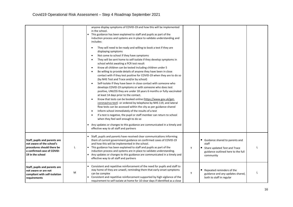|                                                                                                                                            |   | anyone display symptoms of COVID-19 and how this will be implemented<br>in the school.<br>This guidance has been explained to staff and pupils as part of the<br>induction process and systems are in place to validate understanding and<br>includes:<br>They will need to be ready and willing to book a test if they are<br>$\bullet$<br>displaying symptoms<br>Not come to school if they have symptoms<br>$\bullet$<br>They will be sent home to self-isolate if they develop symptoms in<br>$\bullet$<br>school whilst awaiting a PCR test result<br>Know all children can be tested including children under 5<br>$\bullet$<br>Be willing to provide details of anyone they have been in close<br>$\bullet$<br>contact with if they test positive for COVID-19 when they are to do so<br>(by NHS Test and Trace and/or by school)<br>Self-isolate if they have been in close contact with someone who<br>$\bullet$<br>develops COVID-19 symptoms or with someone who does test<br>positive, UNLESS they are under 18 years 6 months or fully vaccinated<br>at least 14 days prior to the contact.<br>Know that tests can be booked online (https://www.gov.uk/get-<br>$\bullet$<br>coronavirus-test) or ordered by telephone by NHS 119, and lateral<br>flow tests can be accessed within the city as per guidance shared<br>Inform school immediately of the results of a test<br>$\bullet$<br>If a test is negative, the pupil or staff member can return to school<br>$\bullet$<br>when they feel well enough to do so<br>Any updates or changes to this guidance are communicated in a timely and<br>effective way to all staff and partners |   |                                                                                                                                      |  |
|--------------------------------------------------------------------------------------------------------------------------------------------|---|---------------------------------------------------------------------------------------------------------------------------------------------------------------------------------------------------------------------------------------------------------------------------------------------------------------------------------------------------------------------------------------------------------------------------------------------------------------------------------------------------------------------------------------------------------------------------------------------------------------------------------------------------------------------------------------------------------------------------------------------------------------------------------------------------------------------------------------------------------------------------------------------------------------------------------------------------------------------------------------------------------------------------------------------------------------------------------------------------------------------------------------------------------------------------------------------------------------------------------------------------------------------------------------------------------------------------------------------------------------------------------------------------------------------------------------------------------------------------------------------------------------------------------------------------------------------------------------------------------------------------------------------------------|---|--------------------------------------------------------------------------------------------------------------------------------------|--|
| Staff, pupils and parents are<br>not aware of the school's<br>procedures should there be<br>a confirmed case of COVID-<br>19 in the school |   | Staff, pupils and parents have received clear communications informing<br>them of current government guidance on confirmed cases of COVID-19<br>and how this will be implemented in the school.<br>• This guidance has been explained to staff and pupils as part of the<br>induction process and systems are in place to validate understanding.<br>Any updates or changes to this guidance are communicated in a timely and<br>effective way to all staff and partners                                                                                                                                                                                                                                                                                                                                                                                                                                                                                                                                                                                                                                                                                                                                                                                                                                                                                                                                                                                                                                                                                                                                                                                | У | Guidance shared to parents and<br>٠<br>staff<br>Share updated Test and Trace<br>٠<br>guidance outlined here to the full<br>community |  |
| Staff, pupils and parents are<br>not aware or are not<br>compliant with self-isolation<br>requirements                                     | M | Consistent and repetitive reinforcement of the need for pupils and staff to<br>stay home of they are unwell, reminding them that early onset symptoms<br>can be complex<br>Consistent and repetitive reinforcement supported by high vigilance of the<br>requirement to self-isolate at home for 10 clear days if identified as a close                                                                                                                                                                                                                                                                                                                                                                                                                                                                                                                                                                                                                                                                                                                                                                                                                                                                                                                                                                                                                                                                                                                                                                                                                                                                                                                 | y | Repeated reminders of the<br>guidance and any updates shared,<br>both to staff in regular                                            |  |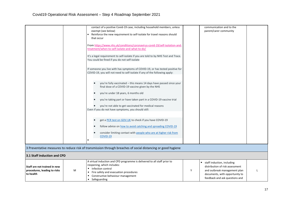|                                                                           |   | contact of a positive Covid-19 case, including household members, unless<br>exempt (see below)<br>Reinforce the new requirement to self-isolate for travel reasons should<br>that occur<br>From https://www.nhs.uk/conditions/coronavirus-covid-19/self-isolation-and-<br>treatment/when-to-self-isolate-and-what-to-do/ | communication and to the<br>parent/carer community                                                                                                                     |
|---------------------------------------------------------------------------|---|--------------------------------------------------------------------------------------------------------------------------------------------------------------------------------------------------------------------------------------------------------------------------------------------------------------------------|------------------------------------------------------------------------------------------------------------------------------------------------------------------------|
|                                                                           |   | It's a legal requirement to self-isolate if you are told to by NHS Test and Trace.<br>You could be fined if you do not self-isolate                                                                                                                                                                                      |                                                                                                                                                                        |
|                                                                           |   | If someone you live with has symptoms of COVID-19, or has tested positive for<br>COVID-19, you will not need to self-isolate if any of the following apply:                                                                                                                                                              |                                                                                                                                                                        |
|                                                                           |   | you're fully vaccinated - this means 14 days have passed since your<br>final dose of a COVID-19 vaccine given by the NHS<br>you're under 18 years, 6 months old                                                                                                                                                          |                                                                                                                                                                        |
|                                                                           |   | you're taking part or have taken part in a COVID-19 vaccine trial<br>you're not able to get vaccinated for medical reasons<br>Even if you do not have symptoms, you should still:                                                                                                                                        |                                                                                                                                                                        |
|                                                                           |   | get a PCR test on GOV. UK to check if you have COVID-19<br>follow advice on how to avoid catching and spreading COVID-19<br>consider limiting contact with people who are at higher risk from<br>COVID-19<br>$\blacksquare$                                                                                              |                                                                                                                                                                        |
|                                                                           |   | 3 Preventative measures to reduce risk of transmission through breaches of social distancing or good hygiene                                                                                                                                                                                                             |                                                                                                                                                                        |
| 3.1 Staff induction and CPD                                               |   |                                                                                                                                                                                                                                                                                                                          |                                                                                                                                                                        |
| Staff are not trained in new<br>procedures, leading to risks<br>to health | M | A virtual induction and CPD programme is delivered to all staff prior to<br>reopening, which includes:<br>Infection control<br>Fire safety and evacuation procedures<br>• Constructive behaviour management<br>Safeguarding                                                                                              | staff induction, including<br>distribution of risk assessment<br>and outbreak management plan<br>Y<br>documents, with opportunity to<br>feedback and ask questions and |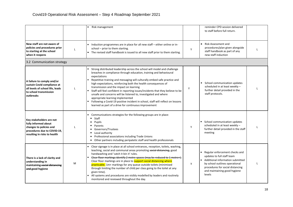|                                                                                                                                            |              | Risk management                                                                                                                                                                                                                                                                                                                                                                                                                                                                                                                                                                                                                                                                                |   | reminder CPD session delivered<br>to staff before full return.                                                                                                                                                   |  |
|--------------------------------------------------------------------------------------------------------------------------------------------|--------------|------------------------------------------------------------------------------------------------------------------------------------------------------------------------------------------------------------------------------------------------------------------------------------------------------------------------------------------------------------------------------------------------------------------------------------------------------------------------------------------------------------------------------------------------------------------------------------------------------------------------------------------------------------------------------------------------|---|------------------------------------------------------------------------------------------------------------------------------------------------------------------------------------------------------------------|--|
| New staff are not aware of<br>policies and procedures prior<br>to starting at the school<br>when it reopens                                | $\mathbf{I}$ | Induction programmes are in place for all new staff - either online or in-<br>school - prior to them starting.<br>The revised staff handbook is issued to all new staff prior to them starting.                                                                                                                                                                                                                                                                                                                                                                                                                                                                                                | Y | Risk Assessment and<br>procedures/plan given alongside<br>staff handbook as part of any<br>new staff induction                                                                                                   |  |
| 3.2 Communication strategy                                                                                                                 |              |                                                                                                                                                                                                                                                                                                                                                                                                                                                                                                                                                                                                                                                                                                |   |                                                                                                                                                                                                                  |  |
| A failure to comply and/or<br>sustain Covid compliance at<br>all levels of school life, leads<br>to school transmission<br>outbreaks       | $\mathsf{L}$ | Strong distributed leadership across the school will model and challenge<br>breaches in compliance through education, training and behavioural<br>expectations<br>Repetitive training and messaging will culturally embed safe practice and<br>high expectations, reinforcing both the health consequences of<br>transmission and the impact on learning<br>Staff will feel confident in reporting issues/incidents that they believe to be<br>unsafe and concerns will be listened to, investigated and where<br>appropriate learning implemented<br>Following a Covid-19 positive incident in school, staff will reflect on lessons<br>learned as part of a drive for continuous improvement | Υ | School communication updates<br>scheduled in at least weekly -<br>further detail provided in the<br>staff protocols.                                                                                             |  |
| Key stakeholders are not<br>fully informed about<br>changes to policies and<br>procedures due to COVID-19,<br>resulting in risks to health | $\mathsf{L}$ | Communications strategies for the following groups are in place:<br>■ Staff<br><b>Pupils</b><br>Parents<br>Governors/Trustees<br>Local authority<br>Professional associations including Trade Unions<br>Other partners including peripatetic staff and health professionals                                                                                                                                                                                                                                                                                                                                                                                                                    | Y | School communication updates<br>scheduled in at least weekly -<br>further detail provided in the staff<br>meeting                                                                                                |  |
| There is a lack of clarity and<br>understanding in<br>maintaining social distancing<br>and good hygiene                                    | M            | Clear signage is in place at all school entrances, reception, toilets, washing,<br>teaching, social and communal areas promoting social distancing, good<br>handwashing and 'catch it bin it' rules.<br>Clear floor markings identify 2 metre spaces (may be reduced to 1 metre+).<br>Clear floor markings are in place to support social distancing where<br>practicable. 1m+ markings for any queue outside toilets (minimised<br>through limiting the number of child per class going to the toilet at any<br>given time).<br>All systems and procedures are visibly modelled by leaders and routinely<br>monitored and reviewed throughout the day.                                        | y | Regular enforcement checks and<br>updates to full staff team<br>Additional information submitted<br>by school outlines operational<br>procedures for social distancing<br>and maintaining good hygiene<br>levels |  |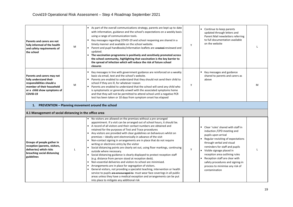| Parents and carers are not<br>fully informed of the health<br>and safety requirements of<br>the school                                                    | M | As part of the overall communications strategy, parents are kept up to date<br>with information, guidance and the school's expectations on a weekly basis<br>using a range of communication tools.<br>Key messages regarding COVID-19 and school reopening are shared in a<br>timely manner and available on the school website.<br>Parent and pupil handbooks/information leaflets are ereated-reviewed and<br>updated.<br>The vaccination programme is positively and sensitively promoted across<br>the school community, highlighting that vaccination is the key barrier to<br>the spread of infection which will reduce the risk of future school<br>closures                                                                                                                                                                                                                                                                                                                                                                                                                                                                                                                                                     | Y | Continue to keep parents<br>updated through letters and<br>Parent Mail newsletters referring<br>to full documentation available<br>on the website                                                                                                                                                                                                                                     |   |
|-----------------------------------------------------------------------------------------------------------------------------------------------------------|---|-------------------------------------------------------------------------------------------------------------------------------------------------------------------------------------------------------------------------------------------------------------------------------------------------------------------------------------------------------------------------------------------------------------------------------------------------------------------------------------------------------------------------------------------------------------------------------------------------------------------------------------------------------------------------------------------------------------------------------------------------------------------------------------------------------------------------------------------------------------------------------------------------------------------------------------------------------------------------------------------------------------------------------------------------------------------------------------------------------------------------------------------------------------------------------------------------------------------------|---|---------------------------------------------------------------------------------------------------------------------------------------------------------------------------------------------------------------------------------------------------------------------------------------------------------------------------------------------------------------------------------------|---|
| Parents and carers may not<br>fully understand their<br>responsibilities should a<br>member of their household<br>or a child show symptoms of<br>COVID-19 | M | Key messages in line with government guidance are reinforced on a weekly<br>basis via email, text and the school's website.<br>Parents are enabled to understand that they should not send their child to<br>school if they are ill, for whatever reason<br>Parents are enabled to understand that the school will send any child who<br>is symptomatic or generally unwell with the associated symptoms home<br>and that they will not be permitted to attend school until a negative PCR<br>test has been taken or 10 days from symptom onset has elapsed                                                                                                                                                                                                                                                                                                                                                                                                                                                                                                                                                                                                                                                             | у | Key messages and guidance<br>shared to parents and carers as<br>above                                                                                                                                                                                                                                                                                                                 | M |
| 1.                                                                                                                                                        |   | PREVENTION - Planning movement around the school                                                                                                                                                                                                                                                                                                                                                                                                                                                                                                                                                                                                                                                                                                                                                                                                                                                                                                                                                                                                                                                                                                                                                                        |   |                                                                                                                                                                                                                                                                                                                                                                                       |   |
| 4.1 Management of social distancing in the office area                                                                                                    |   |                                                                                                                                                                                                                                                                                                                                                                                                                                                                                                                                                                                                                                                                                                                                                                                                                                                                                                                                                                                                                                                                                                                                                                                                                         |   |                                                                                                                                                                                                                                                                                                                                                                                       |   |
| Groups of people gather in<br>reception (parents, visitors,<br>deliveries) which risks<br>breaching social distancing<br>guidelines                       |   | No visitors are allowed on the premises without a pre-arranged<br>appointment. If a visit can be arranged out of school hours, it should be.<br>A record of all visitors and their contact numbers are obtained and<br>retained for the purposes of Test and Trace procedures<br>Any visitors are provided with clear guidelines on behaviours whilst on<br>premises - ideally sent electronically in advance of the visit<br>Non-contact signing in arrangements are in place that do not require<br>writing or electronic entry by the visitor<br>Social distancing points are clearly set out, using floor markings, continuing<br>outside where necessary.<br>Social distancing guidance is clearly displayed to protect reception staff<br>(e.g. distance from person stood at reception desk).<br>Non-essential deliveries and visitors to school are minimised.<br>Arrangements are in place for segregation of visitors.<br>General visitors, not providing a specialist teaching, intervention or health<br>service to pupils are encouraged to must wear face coverings in all public<br>areas unless they have a medical exception and arrangements can be put<br>into place to mitigate any additional risk | Y | Clear 'rules' shared with staff in<br>induction /CPD meeting and<br>pupils upon arrival<br>Regular revisiting of expectations<br>through verbal and visual<br>reminders for staff and pupils<br>Visible signage placed in<br>reception area outlining rules<br>Reception staff are clear with<br>safety procedures and signing-in<br>process to minimise any risk of<br>contamination |   |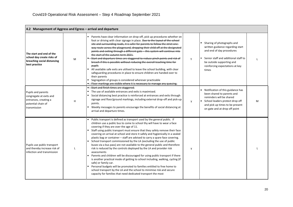| 4.2 Management of Aggress and Egress - arrival and departure                                                 |   |                                                                                                                                                                                                                                                                                                                                                                                                                                                                                                                                                                                                                                                                                                                                                                                                                                                                                                                                                                                                                                                                                                             |   |                                                                                                                                                                                                                                |   |  |
|--------------------------------------------------------------------------------------------------------------|---|-------------------------------------------------------------------------------------------------------------------------------------------------------------------------------------------------------------------------------------------------------------------------------------------------------------------------------------------------------------------------------------------------------------------------------------------------------------------------------------------------------------------------------------------------------------------------------------------------------------------------------------------------------------------------------------------------------------------------------------------------------------------------------------------------------------------------------------------------------------------------------------------------------------------------------------------------------------------------------------------------------------------------------------------------------------------------------------------------------------|---|--------------------------------------------------------------------------------------------------------------------------------------------------------------------------------------------------------------------------------|---|--|
| The start and end of the<br>school day create risks of<br>breaching social distancing<br>best practice       | M | Parents have clear information on drop-off, pick up procedures whether on<br>foot or driving with clear signage in place. Due to the layout of the school<br>site and surrounding roads, it is safer for parents to follow the strict one-<br>way route across the playground, dropping their child off at the designated<br>points and exiting through a different gate - this system will continue into<br>the start of the autumn term 2021.<br>Start and departure times are staggered to reduce pinch points and risk of<br>breach if this is possible without reducing the overall teaching time for<br>pupils<br>All available safe exits are utilised to leave the school building, with clear<br>safeguarding procedures in place to ensure children are handed over to<br>their parents<br>$\blacksquare$<br>Segregation of groups is considered wherever practicable<br>- Floor markings are visible where it is necessary to manage any queuing.                                                                                                                                                | Υ | Sharing of photographs and<br>$\blacksquare$<br>written guidance regarding start<br>and end of day procedures<br>Senior staff and additional staff to<br>be outside supporting and<br>reinforcing expectations at key<br>times |   |  |
| Pupils and parents<br>congregate at exits and<br>entrances, creating a<br>potential chain of<br>transmission | H | - Start and finish times are staggered.<br>The use of available entrances and exits is maximised.<br>Social distancing best practice is reinforced at entrances and exits through<br>signage and floor/ground markings, including external drop-off and pick-up<br>points.<br>Weekly messages to parents encourage the benefits of social distancing at<br>$\blacksquare$<br>arrival and departure times.                                                                                                                                                                                                                                                                                                                                                                                                                                                                                                                                                                                                                                                                                                   | y | Notification of this guidance has<br>been shared to parents and<br>reminders will be shared<br>School leaders protect drop off<br>and pick up times to be present<br>on gate and at drop off point                             | м |  |
| Pupils use public transport<br>and thereby increase risk of<br>infection and transmission                    |   | Public transport is defined as transport used by the general public. If<br>children use a public bus to come to school thy will have to wear a face<br>covering if they are over the age of 11.<br>Staff using public transport must ensure that they safely remove their face<br>covering on arrival at school and store it safely and hygienically in a sealed<br>plastic bag or container - staff are advised to carry a spare face covering.<br>School transport commissioned by the LA (excluding the use of public<br>buses via a bus pass) are not available to the general public and therefore<br>risk is reduced by the controls deployed by the LA and provider risk<br>assessments<br>Parents and children will be discouraged for using public transport if there<br>is another practical mode of getting to school including, walking, cycling (if<br>safe) or family car.<br>Personal budgets will be promoted to families entitled to free home to<br>school transport by the LA and the school to minimise risk and secure<br>capacity for families that need dedicated transport the most | y |                                                                                                                                                                                                                                |   |  |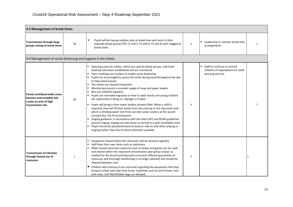| 4.3 Management of break times                                                                           |   |                                                                                                                                                                                                                                                                                                                                                                                                                                                                                                                                                                                                                                                                                                                                                                                                                                                                                                                                                                                                                                                                                                                                             |   |                                                                                        |  |
|---------------------------------------------------------------------------------------------------------|---|---------------------------------------------------------------------------------------------------------------------------------------------------------------------------------------------------------------------------------------------------------------------------------------------------------------------------------------------------------------------------------------------------------------------------------------------------------------------------------------------------------------------------------------------------------------------------------------------------------------------------------------------------------------------------------------------------------------------------------------------------------------------------------------------------------------------------------------------------------------------------------------------------------------------------------------------------------------------------------------------------------------------------------------------------------------------------------------------------------------------------------------------|---|----------------------------------------------------------------------------------------|--|
| <b>Transmission through large</b><br>groups mixing at break times                                       | М | Pupils will be having outdoor play at break time and lunch in their<br>separate phase groups (YR; Y1 and 2; Y3 and 4; Y5 and 6) with staggered<br>break times                                                                                                                                                                                                                                                                                                                                                                                                                                                                                                                                                                                                                                                                                                                                                                                                                                                                                                                                                                               | y | Leadership to monitor break time<br>arrangements                                       |  |
| 4.4 Management of social distancing and hygiene in the toilets                                          |   |                                                                                                                                                                                                                                                                                                                                                                                                                                                                                                                                                                                                                                                                                                                                                                                                                                                                                                                                                                                                                                                                                                                                             |   |                                                                                        |  |
| Poorly ventilated toilet areas<br>become overcrowded and<br>create an area of high<br>transmission risk | M | Queuing zones for toilets, which are used by phase groups, and hand<br>washing have been established and are monitored.<br>Floor markings are in place to enable social distancing.<br>Pupils are encouraged to access the toilet during class/throughout the day<br>to help avoid queues.<br>The toilets are cleaned frequently.<br>Monitoring ensures a constant supply of soap and paper towels.<br>Bins are emptied regularly.<br>Pupils are reminded regularly on how to wash hands and young children<br>are supervised in doing so. Signage is in place<br>Pupils will bring in their water bottles already filled. When a refill is<br>required, they will fill their bottle from the cold tap in the classroom sink<br>which is drinking water (not from corridor water coolers as this would<br>increase the risk of transmission).<br>Singing guidance: In accordance with the latest DFE and DCMS guidelines<br>around singing, singing can take place as normal in a well-ventilated room<br>Pupils should be positioned back-to-back or side-to-side when playing or<br>singing (rather than face-to-face) whenever possible. | y | Staff to continue to remind<br>children of expectations for toilet<br>queuing and use. |  |
| <b>Transmission of infection</b><br>through shared use of<br>resources                                  |   | Equipment shared within the classroom will be cleaned regularly<br>staff have their own items such as stationary<br>Wider based classroom resources such as books and games can be used<br>and shared within the classroom and between year group classes as<br>needed for the broad and balanced curriculum offered (quarantine of<br>resources and thorough disinfecting is no longer advised) and should be<br>cleaned between uses.<br>Children will continue to be restricted regarding the equipment that they<br>bring to school each day from home. Essentials such as lunch boxes, hats<br>and coats, and flat/foldable bags are allowed.                                                                                                                                                                                                                                                                                                                                                                                                                                                                                          | Y |                                                                                        |  |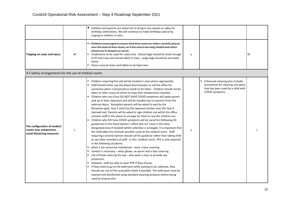|                                                                                    |   | ٠<br>Children and parents are asked not to bring in any sweets or cakes for<br>birthday celebrations. We will continue to make birthdays special by<br>singing to children in class.                                                                                                                                                                                                                                                                                                                                                                                                                                                                                                                                                                                                                                                                                                                                                                                                                                                                                                                                                                                                                                                                                                                                                                                                                                                                                                                                                                                                                                                                                                                                                                                                                    |   |                                                                                                                              |   |
|------------------------------------------------------------------------------------|---|---------------------------------------------------------------------------------------------------------------------------------------------------------------------------------------------------------------------------------------------------------------------------------------------------------------------------------------------------------------------------------------------------------------------------------------------------------------------------------------------------------------------------------------------------------------------------------------------------------------------------------------------------------------------------------------------------------------------------------------------------------------------------------------------------------------------------------------------------------------------------------------------------------------------------------------------------------------------------------------------------------------------------------------------------------------------------------------------------------------------------------------------------------------------------------------------------------------------------------------------------------------------------------------------------------------------------------------------------------------------------------------------------------------------------------------------------------------------------------------------------------------------------------------------------------------------------------------------------------------------------------------------------------------------------------------------------------------------------------------------------------------------------------------------------------|---|------------------------------------------------------------------------------------------------------------------------------|---|
| Tripping on coats and injury                                                       | M | • Children encouraged to ensure that their coats are either carefully placed<br>over the back of their chairs, or if the coat is too long, folded and either<br>placed on/ in drawers or sat on<br>Cloakrooms to be used for coats only. School bags should be small enough<br>to fit into trays and stored safely in class. Large bags should be sent back<br>home.<br>" Floors around chairs and tables to be kept clear                                                                                                                                                                                                                                                                                                                                                                                                                                                                                                                                                                                                                                                                                                                                                                                                                                                                                                                                                                                                                                                                                                                                                                                                                                                                                                                                                                              | y |                                                                                                                              | M |
| 4.5 Safety arrangements for the use of medical rooms                               |   |                                                                                                                                                                                                                                                                                                                                                                                                                                                                                                                                                                                                                                                                                                                                                                                                                                                                                                                                                                                                                                                                                                                                                                                                                                                                                                                                                                                                                                                                                                                                                                                                                                                                                                                                                                                                         |   |                                                                                                                              |   |
| The configuration of medical<br>rooms may compromise<br>social distancing measures |   | Children requiring first aid will be treated in class where appropriate.<br>" Staff should either use the phase thermometer or call the office for<br>assistance when a temperature needs to be taken. Children should not be<br>taken to other areas of school to have their temperature checked.<br>Children who are ill but DO NOT HAVE COVID symptoms will await parent<br>pick up in their classroom and will be handed over to parents from the<br>external doors. Reception parents will be asked to wait by the<br>Reception gate, Year 5 and 6 by the Japanese Garden near the Year 6<br>stairwell exit. Parents will be asked to sign children out whilst the office<br>contacts staff in the phase to arrange for them to see the children out.<br>Children who DO have COVID symptoms will be cared for (following SD<br>guidelines) in the Head teacher's office (the SLT room is the other<br>designated area if needed) whilst collection is arranged. It is important that<br>the child takes the shortest possible route to the medical room. Staff<br>requiring a second opinion should call for guidance rather than taking child<br>to see other members of staff. In this 'medical room', PPE is only required<br>in the following situations:<br>when a 2m cannot be maintained - wear a face covering<br>contact is necessary – wear gloves, an apron and a face covering<br>risk of fluids entering the eye - also wear a visor to provide eye<br>protection.<br>However, staff are able to wear PPE if they choose.<br>" If they need to go to the bathroom while waiting to be collected, they<br>should use one of the accessible toilets if possible. The bathroom must be<br>cleaned and disinfected using standard cleaning products before being<br>used by anyone else. | y | Enhanced cleaning plan includes<br>procedures for cleaning any space<br>that has been used by a child with<br>COVID symptoms |   |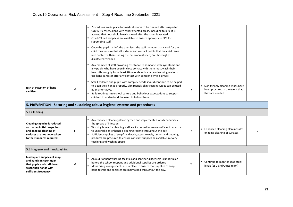|                                                                                                                                                      |   | Procedures are in place for medical rooms to be cleaned after suspected<br>COVID-19 cases, along with other affected areas, including toilets. It is<br>advised that household bleach is used after the room is vacated.<br>Covid-19 first aid packs are available to ensure appropriate PPE for<br>supervising staff<br>Once the pupil has left the premises, the staff member that cared for the<br>child must ensure that all surfaces and contact points that the child came<br>into contact with (including the bathroom if used) are thoroughly<br>disinfected/cleaned<br>Any member of staff providing assistance to someone with symptoms and<br>any pupils who have been in close contact with them must wash their<br>hands thoroughly for at least 20 seconds with soap and running water or<br>use hand sanitiser after any contact with someone who is unwell |   |                                                                                         |  |
|------------------------------------------------------------------------------------------------------------------------------------------------------|---|----------------------------------------------------------------------------------------------------------------------------------------------------------------------------------------------------------------------------------------------------------------------------------------------------------------------------------------------------------------------------------------------------------------------------------------------------------------------------------------------------------------------------------------------------------------------------------------------------------------------------------------------------------------------------------------------------------------------------------------------------------------------------------------------------------------------------------------------------------------------------|---|-----------------------------------------------------------------------------------------|--|
| Risk of ingestion of hand<br>sanitiser                                                                                                               | M | Small children and pupils with complex needs should continue to be helped<br>to clean their hands properly. Skin friendly skin cleaning wipes can be used<br>as an alternative.<br>Build routines into school culture and behaviour expectations to support<br>children to understand the need to follow these                                                                                                                                                                                                                                                                                                                                                                                                                                                                                                                                                             | y | Skin friendly cleaning wipes have<br>been procured in the event that<br>they are needed |  |
|                                                                                                                                                      |   | 5. PREVENTION - Securing and sustaining robust hygiene systems and procedures                                                                                                                                                                                                                                                                                                                                                                                                                                                                                                                                                                                                                                                                                                                                                                                              |   |                                                                                         |  |
| 5.1 Cleaning                                                                                                                                         |   |                                                                                                                                                                                                                                                                                                                                                                                                                                                                                                                                                                                                                                                                                                                                                                                                                                                                            |   |                                                                                         |  |
| Cleaning capacity is reduced<br>so that an initial deep-clean<br>and ongoing cleaning of<br>surfaces are not undertaken<br>to the standards required |   | An enhanced cleaning plan is agreed and implemented which minimises<br>the spread of infection.<br>• Working hours for cleaning staff are increased to secure sufficient capacity<br>to undertake an enhanced cleaning regime throughout the day<br>Sufficient supplies of soap/handwash, paper towels, tissues and cleaning<br>products are procured to ensure constant supplies ae available in every<br>teaching and washing space                                                                                                                                                                                                                                                                                                                                                                                                                                      | Y | Enhanced cleaning plan includes<br>ongoing cleaning of surfaces                         |  |
| 5.2 Hygiene and handwashing                                                                                                                          |   |                                                                                                                                                                                                                                                                                                                                                                                                                                                                                                                                                                                                                                                                                                                                                                                                                                                                            |   |                                                                                         |  |
| Inadequate supplies of soap<br>and hand sanitiser mean<br>that pupils and staff do not<br>wash their hands with<br>sufficient frequency              | M | An audit of handwashing facilities and sanitiser dispensers is undertaken<br>before the school reopens and additional supplies are ordered<br>" Monitoring arrangements are in place to ensure that supplies of soap,<br>hand towels and sanitiser are maintained throughout the day.                                                                                                                                                                                                                                                                                                                                                                                                                                                                                                                                                                                      | Y | Continue to monitor soap stock<br>levels (SSO and Office team)                          |  |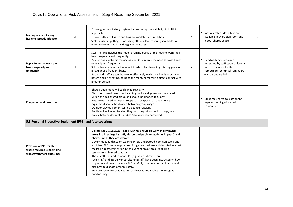| Inadequate respiratory<br>hygiene spreads infection                                              | M | " Ensure good respiratory hygiene by promoting the 'catch it, bin it, kill it'<br>approach<br>Ensure sufficient tissues and bins are available around school<br>Staff or visitors putting on or taking off their face covering should do so<br>whilst following good hand hygiene measures                                                                                                                                                                                                                                                                                                                                                                                                                                                                                                                             | Y | foot-operated lidded bins are<br>available in every classroom and<br>indoor shared space                                                             |  |
|--------------------------------------------------------------------------------------------------|---|------------------------------------------------------------------------------------------------------------------------------------------------------------------------------------------------------------------------------------------------------------------------------------------------------------------------------------------------------------------------------------------------------------------------------------------------------------------------------------------------------------------------------------------------------------------------------------------------------------------------------------------------------------------------------------------------------------------------------------------------------------------------------------------------------------------------|---|------------------------------------------------------------------------------------------------------------------------------------------------------|--|
| Pupils forget to wash their<br>hands regularly and<br>frequently                                 | H | Staff training includes the need to remind pupils of the need to wash their<br>hands regularly and frequently.<br>Posters and electronic messaging boards reinforce the need to wash hands<br>regularly and frequently.<br>School leaders monitor the extent to which handwashing is taking place on<br>a regular and frequent basis.<br>" Pupils and staff are taught how to effectively wash their hands especially<br>before and after eating, going to the toilet, or following direct contact with<br>another person                                                                                                                                                                                                                                                                                              | y | Handwashing instruction<br>reiterated by staff upon children's<br>return to a school with<br>compulsory, continual reminders<br>- visual and verbal. |  |
| <b>Equipment and resources</b>                                                                   |   | Shared equipment will be cleaned regularly<br>Classroom based resources including books and games can be shared<br>within the designated group and should be cleaned regularly.<br>Resources shared between groups such as sports, art and science<br>equipment should be cleaned between group usage.<br>Outdoor play equipment will be cleaned regularly<br>Pupils will be limited to what they can bring into school to: bags, lunch<br>boxes, hats, coats, books, mobile 'phones when permitted.                                                                                                                                                                                                                                                                                                                   |   | Guidance shared to staff on the<br>regular cleaning of shared<br>equipment                                                                           |  |
| 5.3 Personal Protective Equipment (PPE) and face coverings                                       |   |                                                                                                                                                                                                                                                                                                                                                                                                                                                                                                                                                                                                                                                                                                                                                                                                                        |   |                                                                                                                                                      |  |
| <b>Provision of PPE for staff</b><br>where required is not in line<br>with government guidelines |   | Update DfE 29/11/2021: Face coverings should be worn in communal<br>areas in all settings by staff, visitors and pupils or students in year 7 and<br>above, unless they are exempt.<br>Government guidance on wearing PPE is understood, communicated and<br>sufficient PPE has been procured for general task use as identified in a task<br>focused risk assessment or in the event of an outbreak requiring<br>temporary enhanced controls.<br>Those staff required to wear PPE (e.g. SEND intimate care;<br>$\blacksquare$<br>receiving/handling deliveries; cleaning staff) have been instructed on how<br>to put on and how to remove PPE carefully to reduce contamination and<br>also how to dispose of them safely.<br>Staff are reminded that wearing of gloves is not a substitute for good<br>handwashing. |   |                                                                                                                                                      |  |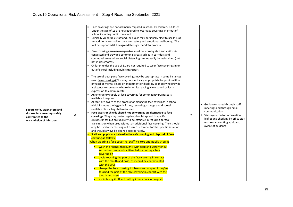|                                                                                                                     |   | Face coverings are not ordinarily required in school by children. Children<br>under the age of 11 are not required to wear face coverings in or out of<br>school including public transport.<br>Clinically vulnerable staff and /or pupils may personally elect to use PPE as<br>an additional control for their own safety and emotional well-being. This<br>will be supported if it is agreed through the VERA process.                                                                                                                                                                                                                                                                                                                                                                                                                                                                                                                                                                                                                                                                                                                                                                                                                                                                                                                                                                                                                                                                                                                                                                                                                                                                                                                                                                                                                                                                                                                                                                                                                                                                      |   |                                                                                                                                                                                                                  |              |
|---------------------------------------------------------------------------------------------------------------------|---|------------------------------------------------------------------------------------------------------------------------------------------------------------------------------------------------------------------------------------------------------------------------------------------------------------------------------------------------------------------------------------------------------------------------------------------------------------------------------------------------------------------------------------------------------------------------------------------------------------------------------------------------------------------------------------------------------------------------------------------------------------------------------------------------------------------------------------------------------------------------------------------------------------------------------------------------------------------------------------------------------------------------------------------------------------------------------------------------------------------------------------------------------------------------------------------------------------------------------------------------------------------------------------------------------------------------------------------------------------------------------------------------------------------------------------------------------------------------------------------------------------------------------------------------------------------------------------------------------------------------------------------------------------------------------------------------------------------------------------------------------------------------------------------------------------------------------------------------------------------------------------------------------------------------------------------------------------------------------------------------------------------------------------------------------------------------------------------------|---|------------------------------------------------------------------------------------------------------------------------------------------------------------------------------------------------------------------|--------------|
| Failure to fit, wear, store and<br>dispose face coverings safely<br>contributes to the<br>transmission of infection | M | Face coverings are encouraged for must be worn by staff and visitors in<br>congested and crowded communal areas such as in corridors and<br>communal areas where social distancing cannot easily be maintained (but<br>not in classrooms).<br>Children under the age of 11 are not required to wear face coverings in or<br>out of school including public transport<br>The use of clear pane face coverings may be appropriate in some instances<br>(see: face coverings) This may be specifically appropriate for pupils with a<br>physical or mental illness or impairment or disability or those who provide<br>assistance to someone who relies on lip reading, clear sound or facial<br>expression to communicate.<br>An emergency supply of face coverings for contingency purposes is<br>available if required.<br>All staff are aware of the process for managing face coverings in school<br>which includes the hygienic fitting, removing, storage and disposal<br>(sealable plastic bags between use).<br>Face visors or shields should not be worn as an alternative to face<br>coverings. They may protect against droplet spread in specific<br>circumstances but are unlikely to be effective in reducing aerosol<br>transmission when used without an additional face covering. They should<br>only be used after carrying out a risk assessment for the specific situation<br>and should always be cleaned appropriately.<br>Staff and pupils are trained in the safe donning and disposal of face<br>covering as follows:<br>When wearing a face covering, staff, visitors and pupils should:<br>wash their hands thoroughly with soap and water for 20<br>seconds or use hand sanitiser before putting a face<br>covering on<br>avoid touching the part of the face covering in contact<br>with the mouth and nose, as it could be contaminated<br>with the virus<br>change the face covering if it becomes damp or if they've<br>touched the part of the face covering in contact with the<br>mouth and nose<br>avoid taking it off and putting it back on a lot in quick | Y | Guidance shared through staff<br>meetings and through email<br>communication<br>■ Visitor/contractor information<br>leaflet and checking by office staff<br>ensures any visiting adult also<br>aware of guidance | $\mathbf{I}$ |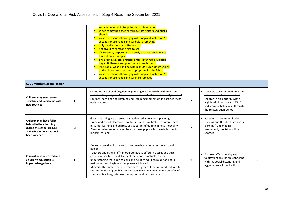| 6. Curriculum organisation                                                                                                     |   | succession to minimise potential contamination<br>When removing a face covering, staff, visitors and pupils<br>should:<br>wash their hands thoroughly with soap and water for 20<br>seconds or use hand sanitiser before removing<br>only handle the straps, ties or clips<br>not give it to someone else to use<br>if single-use, dispose of it carefully in a household waste<br>bin and do not recycle<br>once removed, store reusable face coverings in a plastic<br>bag until there is an opportunity to wash them.<br>if reusable, wash it in line with manufacturer's instructions<br>at the highest temperature appropriate for the fabric<br>wash their hands thoroughly with soap and water for 20<br>٠<br>seconds or use hand sanitiser once removed |              |                                                                                                                                                                                                        |  |
|--------------------------------------------------------------------------------------------------------------------------------|---|-----------------------------------------------------------------------------------------------------------------------------------------------------------------------------------------------------------------------------------------------------------------------------------------------------------------------------------------------------------------------------------------------------------------------------------------------------------------------------------------------------------------------------------------------------------------------------------------------------------------------------------------------------------------------------------------------------------------------------------------------------------------|--------------|--------------------------------------------------------------------------------------------------------------------------------------------------------------------------------------------------------|--|
| Children may need to re-<br>socialise and familiarise with<br>new routines                                                     |   | - Consideration should be given on planning what to teach, and how, The<br>priorities for young children currently is resocialisation into new style school<br>routines; speaking and listening and regaining momentum in particular with<br>early reading.                                                                                                                                                                                                                                                                                                                                                                                                                                                                                                     | $\mathsf{v}$ | Teachers to continue to hold the<br>emotional and social needs of<br>children in high priority with a<br>high level of nurture and PSHE<br>and learning behaviours through<br>the reintegration period |  |
| Children may have fallen<br>behind in their learning<br>during the school closure<br>and achievement gaps will<br>have widened | M | Gaps in learning are assessed and addressed in teachers' planning.<br>■ Home and remote learning is continuing and is calibrated to complement<br>in-school learning and address any gaps identified to minimise inequality<br>Plans for intervention are in place for those pupils who have fallen behind<br>in their learning.                                                                                                                                                                                                                                                                                                                                                                                                                                | y            | Based on assessment of prior<br>learning and the identified gaps in<br>learning from ongoing<br>assessment, provision will be<br>adapted                                                               |  |
| <b>Curriculum is restricted and</b><br>children's education is<br>impacted negatively                                          |   | • Deliver a broad and balance curriculum whilst minimising contact and<br>mixing.<br>■ Teachers and other staff can operate across different classes and year<br>groups to facilitate the delivery of the school timetable, on the<br>understanding that adult to child and adult to adult social distancing is<br>maintained and hygiene arrangements followed.<br>• Minimise the contact between and across groups for adults and children to<br>reduce the risk of possible transmission, whilst maintaining the benefits of<br>specialist teaching, intervention support and pastoral care.                                                                                                                                                                 | y            | Ensure staff conducting support<br>to different groups are confident<br>with the social distancing and<br>hygiene procedures for this                                                                  |  |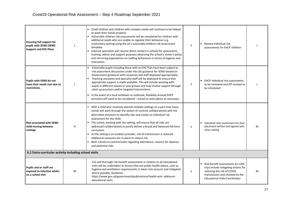| <b>Ensuring full support for</b><br>pupils with SEND (SEND<br><b>Support and EHC Plans</b> |              | Small children and children with complex needs will continue to be helped<br>to wash their hands properly.<br>Vulnerable children risk assessments will be completed for children with<br>additional needs who are unable to regulate their behaviour e.g.<br>involuntary spitting using the LA's vulnerable children risk assessment<br>template.<br>External specialists will resume direct contact in schools for assessment,<br>training, advice and support purposes observing the school's visitor's policy<br>and mirroring expectations on staffing behaviours in terms of hygiene and<br>interaction.                                                           | Y | Review individual risk<br>assessments for EHCP children                                                                                                                             |   |
|--------------------------------------------------------------------------------------------|--------------|--------------------------------------------------------------------------------------------------------------------------------------------------------------------------------------------------------------------------------------------------------------------------------------------------------------------------------------------------------------------------------------------------------------------------------------------------------------------------------------------------------------------------------------------------------------------------------------------------------------------------------------------------------------------------|---|-------------------------------------------------------------------------------------------------------------------------------------------------------------------------------------|---|
| Pupils with SEND do not<br>have their needs met due to<br>restrictions.                    | $\mathbf{I}$ | Vulnerable pupils including those with an EHC Plan have been subject to<br>risk assessment discussions under the LAs guidance for SEND (based on<br>Government guidance) with resources and staff deployed appropriately.<br>Teaching assistants and specialist staff will be deployed to ensure that<br>appropriate support is made available. This will include working with<br>pupils in different classes or year groups and may involve support through<br>catch up provision and/or targeted interventions.<br>In the event of a local lockdown or outbreak, flexibility around EHCP<br>provision will need to be considered - school to seek advice as necessary. | Y | <b>EXAMPLE EHCP individual risk assessments</b><br>to be reviewed and IEP reviews to<br>be scheduled                                                                                |   |
| <b>Risk associated with SEND</b><br>child moving between<br>settings                       | H            | With a child who routinely attends multiple settings on a part-time basis,<br>school will work through the system of controls collaboratively with the<br>alternative provision to identify risks and create an individual risk<br>assessment for the child.<br>The school, working with the setting, will ensure that all risks are<br>addressed collaboratively to jointly deliver a broad and balanced full-time<br>curriculum<br>As the setting is an outdoor provider, risk of transmission is reduced.<br>Additional measures are in place to reduce risk.<br>Both schools to communicate regarding attendance, reasons for absence<br>and potential risks.        | y | Individual risks assessment for dual<br>placement written and agreed with<br>other setting                                                                                          | M |
| 6.1 Extra-curricular activity including school visits                                      |              |                                                                                                                                                                                                                                                                                                                                                                                                                                                                                                                                                                                                                                                                          |   |                                                                                                                                                                                     |   |
| <b>Pupils and or staff are</b><br>exposed to infection whilst<br>on a school visit         | M            | Full and thorough risk benefit assessments in relation to all educational<br>visits will be undertaken to ensure that any public health advice, such as<br>hygiene and ventilation requirements, is taken into account and mitigated<br>where possible. Guidance:<br>https://www.gov.uk/government/publications/health-and-safety-on-<br>educational-visits                                                                                                                                                                                                                                                                                                              | y | Risk benefit assessments for LOtC<br>trips include mitigating actions for<br>reducing the risk of COVID<br>transmission and checked by the<br><b>Educational Visits Coordinator</b> | M |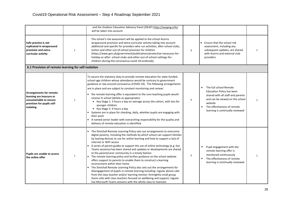|                                                                                                                                  | and the Outdoor Education Advisory Panel (OEAP) https://oeapng.info/<br>will be taken into account                                                                                                                                                                                                                                                                                                                                                                                                                                                                                                                                                                                                                                                                                                                                                                                                                                                                                                                                              |   |                                                                                                                                                                                                           |  |
|----------------------------------------------------------------------------------------------------------------------------------|-------------------------------------------------------------------------------------------------------------------------------------------------------------------------------------------------------------------------------------------------------------------------------------------------------------------------------------------------------------------------------------------------------------------------------------------------------------------------------------------------------------------------------------------------------------------------------------------------------------------------------------------------------------------------------------------------------------------------------------------------------------------------------------------------------------------------------------------------------------------------------------------------------------------------------------------------------------------------------------------------------------------------------------------------|---|-----------------------------------------------------------------------------------------------------------------------------------------------------------------------------------------------------------|--|
| Safe practice is not<br>replicated in wraparound<br>provision and extra-<br>curricular activity                                  | The school's risk assessment will be applied to the school Acorns<br>wraparound provision and extra-curricular activity taking into account<br>additional and specific for providers who run activities, after-school clubs,<br>tuition and other out-of-school provision for children<br>(https://www.gov.uk/government/publications/protective-measures-for-<br>holiday-or-after- school-clubs-and-other-out-of-school-settings-for-<br>children-during-the-coronavirus-covid-19-outbreak).                                                                                                                                                                                                                                                                                                                                                                                                                                                                                                                                                   | y | Ensure that the school risk<br>assessment, including any<br>subsequent updates, are shared<br>with Acorns and external club<br>providers                                                                  |  |
| 6.1 Provision of remote learning for self-isolation                                                                              |                                                                                                                                                                                                                                                                                                                                                                                                                                                                                                                                                                                                                                                                                                                                                                                                                                                                                                                                                                                                                                                 |   |                                                                                                                                                                                                           |  |
| <b>Arrangements for remote</b><br>learning are insecure or<br>unsustainable to ensure<br>provision for pupils self-<br>isolating | To secure the statutory duty to provide remote education for state-funded,<br>school-age children whose attendance would be contrary to government<br>guidance or law around coronavirus (COVID-19). The following arrangements<br>are in place and are subject to constant monitoring and review:<br>• the remote learning offer is equivalent to the core teaching pupils would<br>receive in school (delete as appropriate):<br>Key Stage 1: 3 hours a day on average across the cohort, with less for<br>younger children<br>Key Stage 2: 4 hours a day<br>Systems are in place for checking, daily, whether pupils are engaging with<br>their work<br>A named senior leader with overarching responsibility for the quality and<br>delivery of remote education is identified                                                                                                                                                                                                                                                              | Y | The full school Remote<br>Education Policy has been<br>shared with all staff and parents<br>and can be viewed on the school<br>website<br>The effectiveness of remote<br>learning is continually reviewed |  |
| Pupils are unable to access<br>the online offer                                                                                  | " The Stivichall Remote Learning Policy sets out arrangements to overcome<br>digital poverty, including the methods by which school can support families<br>by loaning devices to use for online learning and how to support a lack of<br>internet or WIFI access<br>A series of parent guides to support the use of online technology (e.g. live<br>Teams sessions) has been shared and updates or developments are shared<br>to the parent/carer community in a timely fashion<br>The remote learning policy and further guidance on the school website<br>offers support to parents to enable them to construct a learning<br>environment within their home<br>The Stivichall Remote Learning Policy also sets out the arrangements for<br>disengagement of pupils in remote learning including: regular phone calls<br>from the class teacher and/or learning mentor; fortnightly small group<br>Zoom calls with class teachers focused on wellbeing and support; regular<br>live Microsoft Teams sessions with the whole class to maintain | Y | Pupil engagement with the<br>٠<br>remote learning offer is<br>monitored continuously<br>The effectiveness of remote<br>٠<br>learning is continually reviewed                                              |  |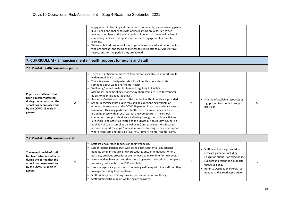|                                                                                                                                                               |   | engagement in learning and the sense of community; paper learning packs<br>if SEN need and challenges with online learning are a barrier. When<br>needed, members of the senior leadership team can become involved in<br>contacting families to support improvement engagement in remote<br>learning.<br>Where able to do so, school should provide remote education for pupils<br>who are abroad, and facing challenges to return due to COVID-19 travel<br>restrictions, for the period they are abroad.                                                                                                                                                                                                                                                                                                                                                                                                                                                                                                                                                                                                                                                                         |   |                                                                                                                                                                                                                           |              |
|---------------------------------------------------------------------------------------------------------------------------------------------------------------|---|-------------------------------------------------------------------------------------------------------------------------------------------------------------------------------------------------------------------------------------------------------------------------------------------------------------------------------------------------------------------------------------------------------------------------------------------------------------------------------------------------------------------------------------------------------------------------------------------------------------------------------------------------------------------------------------------------------------------------------------------------------------------------------------------------------------------------------------------------------------------------------------------------------------------------------------------------------------------------------------------------------------------------------------------------------------------------------------------------------------------------------------------------------------------------------------|---|---------------------------------------------------------------------------------------------------------------------------------------------------------------------------------------------------------------------------|--------------|
|                                                                                                                                                               |   | 7. CURRICULUM - Enhancing mental health support for pupils and staff                                                                                                                                                                                                                                                                                                                                                                                                                                                                                                                                                                                                                                                                                                                                                                                                                                                                                                                                                                                                                                                                                                                |   |                                                                                                                                                                                                                           |              |
| 7.1 Mental health concerns - pupils                                                                                                                           |   |                                                                                                                                                                                                                                                                                                                                                                                                                                                                                                                                                                                                                                                                                                                                                                                                                                                                                                                                                                                                                                                                                                                                                                                     |   |                                                                                                                                                                                                                           |              |
| Pupils' mental health has<br>been adversely affected<br>during the periods that the<br>school has been closed and<br>by the COVID-19 crisis in<br>general     | M | There are sufficient numbers of trained staff available to support pupils<br>with mental health issues.<br>There is access to designated staff for all pupils who wish to talk to<br>someone about wellbeing/mental health.<br>Wellbeing/mental health is discussed regularly in PSHE/Virtual<br>assemblies/pupil briefings (stories/toy characters are used for younger<br>pupils to help talk about feelings).<br>Resources/websites to support the mental health of pupils are provided.<br>School recognises that pupils may still be experiencing a variety of<br>emotions in response to the COVID19 pandemic such as anxiety, stress or<br>low mood. This may particularly be the case for vulnerable children,<br>including those with a social worker and young carers. The school<br>continues to support children's wellbeing through curriculum activities<br>(e.g. PSHE) and activities related to the Stivichall Values Curriculum (e.g<br>pupil-led virtual assemblies on wellbeing) and provides more focused<br>pastoral support for pupils' individual issues, drawing on external support<br>where necessary and possible (e.g. NHS Primary Mental Health Team). | Y | Sharing of available resources as<br>signposted to schools to support<br>provision                                                                                                                                        | M            |
| 7.2 Mental health concerns - staff                                                                                                                            |   |                                                                                                                                                                                                                                                                                                                                                                                                                                                                                                                                                                                                                                                                                                                                                                                                                                                                                                                                                                                                                                                                                                                                                                                     |   |                                                                                                                                                                                                                           |              |
| The mental health of staff<br>has been adversely affected<br>during the period that the<br>school has been closed and<br>by the COVID-19 crisis in<br>general | M | Staff are encouraged to focus on their wellbeing.<br>Senior leaders balance staff well being against potential educational<br>benefits when introducing new procedures and/ or initiatives. Where<br>possible, previous procedures are removed to make time for new ones.<br>Senior leaders have ensured that there is generous allocation to complete<br>necessary tasks within the 1265 calculation.<br>• Line managers are proactive in discussing wellbeing with the staff that they<br>manage, including their workload.<br>Staff briefings and training have included content on wellbeing.<br>Staff briefings/training on wellbeing are provided.                                                                                                                                                                                                                                                                                                                                                                                                                                                                                                                            | Y | Staff have been signposted to<br>relevant guidance including<br>Education support offering online<br>support and telephone support:<br>08000 562 561.<br>Refer to Occupational Health as<br>needed and agreed appropriate | $\mathbf{I}$ |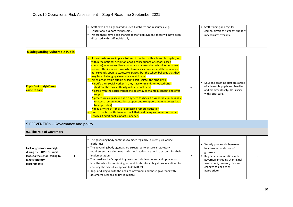| <b>8 Safeguarding Vulnerable Pupils</b>                                                                                       |   | Staff have been signposted to useful websites and resources (e.g.<br>Educational Support Partnership).<br>Where there have been changes to staff deployment, these will have been<br>$\blacksquare$<br>discussed with staff individually.                                                                                                                                                                                                                                                                                                                                                                                                                                                                                                                                                                                                                                                                                                                                                                                                                                                        |   | Staff training and regular<br>communications highlight support<br>mechanisms available                                                                                                                             |              |
|-------------------------------------------------------------------------------------------------------------------------------|---|--------------------------------------------------------------------------------------------------------------------------------------------------------------------------------------------------------------------------------------------------------------------------------------------------------------------------------------------------------------------------------------------------------------------------------------------------------------------------------------------------------------------------------------------------------------------------------------------------------------------------------------------------------------------------------------------------------------------------------------------------------------------------------------------------------------------------------------------------------------------------------------------------------------------------------------------------------------------------------------------------------------------------------------------------------------------------------------------------|---|--------------------------------------------------------------------------------------------------------------------------------------------------------------------------------------------------------------------|--------------|
| Pupils 'out of sight' may<br>come to harm                                                                                     |   | Robust systems are in place to keep in contact with vulnerable pupils (both<br>within the national definition or as a consequence of school-based<br>concerns) who are self-isolating or are not attending school for whatever<br>reason. This includes those who have a social worker and those who are<br>not currently open to statutory services, but the school believes that they<br>may face challenging circumstances at home.<br>• When a vulnerable pupil is asked to self-isolate, the school will:<br>notify their social worker (if they have one) and, for looked-after<br>children, the local authority virtual school head<br>agree with the social worker the best way to maintain contact and offer<br>support<br>procedures in place include a system to check if a vulnerable pupil is able<br>to access remote education support and to support them to access it (as<br>far as possible)<br>regularly check if they are accessing remote education<br>Reep in contact with them to check their wellbeing and refer onto other<br>services if additional support is needed. | Y | DSLs and teaching staff are aware<br>of vulnerable pupils and families<br>and monitor closely. DSLs liaise<br>with social care.                                                                                    | $\mathbf{I}$ |
| 9 PREVENTION - Governance and policy                                                                                          |   |                                                                                                                                                                                                                                                                                                                                                                                                                                                                                                                                                                                                                                                                                                                                                                                                                                                                                                                                                                                                                                                                                                  |   |                                                                                                                                                                                                                    |              |
| 9.1 The role of Governors                                                                                                     |   |                                                                                                                                                                                                                                                                                                                                                                                                                                                                                                                                                                                                                                                                                                                                                                                                                                                                                                                                                                                                                                                                                                  |   |                                                                                                                                                                                                                    |              |
| Lack of governor oversight<br>during the COVID-19 crisis<br>leads to the school failing to<br>meet statutory<br>requirements. | L | • The governing body continues to meet regularly (currently via online<br>platforms).<br>" The governing body agendas are structured to ensure all statutory<br>requirements are discussed and school leaders are held to account for their<br>implementation.<br>" The Headteacher's report to governors includes content and updates on<br>how the school is continuing to meet its statutory obligations in addition to<br>covering the school's response to COVID-19.<br>" Regular dialogue with the Chair of Governors and those governors with<br>designated responsibilities is in place.                                                                                                                                                                                                                                                                                                                                                                                                                                                                                                 | Y | ■ Weekly phone calls between<br>headteacher and chair of<br>governors<br>Regular communication with<br>governors including sharing risk<br>assessment, recovery plan and<br>changes to policies as<br>appropriate. |              |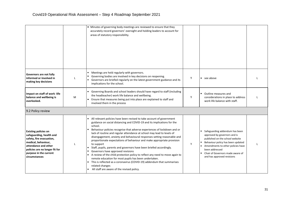|                                                                                                                                                                                                                 |              | " Minutes of governing body meetings are reviewed to ensure that they<br>accurately record governors' oversight and holding leaders to account for<br>areas of statutory responsibility.                                                                                                                                                                                                                                                                                                                                                                                                                                                                                                                                                                                                                                                                                                  |   |                                                                                                                                                                                                                                                                 |  |
|-----------------------------------------------------------------------------------------------------------------------------------------------------------------------------------------------------------------|--------------|-------------------------------------------------------------------------------------------------------------------------------------------------------------------------------------------------------------------------------------------------------------------------------------------------------------------------------------------------------------------------------------------------------------------------------------------------------------------------------------------------------------------------------------------------------------------------------------------------------------------------------------------------------------------------------------------------------------------------------------------------------------------------------------------------------------------------------------------------------------------------------------------|---|-----------------------------------------------------------------------------------------------------------------------------------------------------------------------------------------------------------------------------------------------------------------|--|
| Governors are not fully<br>informed or involved in<br>making key decisions                                                                                                                                      | L            | Meetings are held regularly with governors.<br>٠<br>Governing bodies are involved in key decisions on reopening.<br>Governors are briefed regularly on the latest government guidance and its<br>implications for the school.                                                                                                                                                                                                                                                                                                                                                                                                                                                                                                                                                                                                                                                             | Y | see above                                                                                                                                                                                                                                                       |  |
| Impact on staff of work -life<br>balance and wellbeing is<br>overlooked.                                                                                                                                        | M            | Governing Boards and school leaders should have regard to staff (including<br>the headteacher) work life balance and wellbeing.<br>Ensure that measures being put into place are explained to staff and<br>involved them in the process                                                                                                                                                                                                                                                                                                                                                                                                                                                                                                                                                                                                                                                   | Y | Outline measures and<br>$\blacksquare$<br>considerations in place to address<br>work life balance with staff.                                                                                                                                                   |  |
| 9.2 Policy review                                                                                                                                                                                               |              |                                                                                                                                                                                                                                                                                                                                                                                                                                                                                                                                                                                                                                                                                                                                                                                                                                                                                           |   |                                                                                                                                                                                                                                                                 |  |
| <b>Existing policies on</b><br>safeguarding, health and<br>safety, fire evacuation,<br>medical, behaviour,<br>attendance and other<br>policies are no longer fit for<br>purpose in the current<br>circumstances | $\mathbf{I}$ | All relevant policies have been revised to take account of government<br>guidance on social distancing and COVID-19 and its implications for the<br>school.<br>Behaviour policies recognise that adverse experiences of lockdown and or<br>lack of routine and regular attendance at school may lead to levels of<br>disengagement, anxiety and behavioural responses setting reasonable and<br>proportionate expectations of behaviour and make appropriate provision<br>to support<br>Staff, pupils, parents and governors have been briefed accordingly.<br>Governors have approved revisions<br>A review of the child protection policy to reflect any need to move again to<br>remote education for most pupils has been undertaken.<br>This is reflected as a coronavirus (COVID-19) addendum that summarises<br>related changes<br>All staff are aware of the revised policy.<br>٠ | Y | Safeguarding addendum has been<br>approved by governors and is<br>published on the school website<br>Behaviour policy has been updated<br>Amendments to other policies have<br>been addressed<br>Chair of Governors made aware of<br>and has approved revisions |  |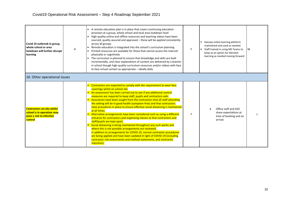| Covid 19 outbreak in group,<br>whole school or area<br>lockdown will further disrupt<br>learning       | н | A remote education plan is in place that covers continuing education<br>provision at a group, whole school and local area lockdown level<br>High quality online and offline resources and teaching videos have been<br>sourced, quality assured and approved - these will be applied consistently<br>across all groups<br>Remote education is integrated into the school's curriculum planning<br>Printed resources are available for those that cannot access the internet<br>physically or cognitively<br>The curriculum is planned to ensure that knowledge and skills are built<br>incrementally, and clear explanations of content are delivered by a teacher<br>in school though high-quality curriculum resources and/or videos with face<br>to face virtual contact as appropriate – ideally daily                                                                                                                                                                                                                                                                 | Υ | Seesaw online learning platform<br>maintained and used as needed<br>Staff trained in using MS Teams to<br>keep as an option for blended<br>learning as needed moving forward | l M |
|--------------------------------------------------------------------------------------------------------|---|----------------------------------------------------------------------------------------------------------------------------------------------------------------------------------------------------------------------------------------------------------------------------------------------------------------------------------------------------------------------------------------------------------------------------------------------------------------------------------------------------------------------------------------------------------------------------------------------------------------------------------------------------------------------------------------------------------------------------------------------------------------------------------------------------------------------------------------------------------------------------------------------------------------------------------------------------------------------------------------------------------------------------------------------------------------------------|---|------------------------------------------------------------------------------------------------------------------------------------------------------------------------------|-----|
| 10. Other operational issues                                                                           |   |                                                                                                                                                                                                                                                                                                                                                                                                                                                                                                                                                                                                                                                                                                                                                                                                                                                                                                                                                                                                                                                                            |   |                                                                                                                                                                              |     |
| <b>Contractors on-site whilst</b><br>school is in operation may<br>pose a risk to infection<br>control |   | Contractors are expected to comply with the requirement to wear face<br>coverings whilst on school site<br>An assessment has been carried out to see if any additional control<br>measures are required to keep staff, pupils and contractors safe.<br>Assurances have been sought from the contractors that all staff attending<br>the setting will be in good health (symptom-free) and that contractors<br>have procedures in place to ensure effective social distancing is maintained<br>at all times.<br>Alternative arrangements have been considered such as using a different<br>entrance for contractors and organising classes so that contractors and<br>staff/pupils are kept apart.<br>Social distancing is being maintained throughout any such works and<br>where this is not possible arrangements are reviewed.<br>In addition to arrangements for COVID-19, normal contractor procedures<br>are being applied and have been updated in light of COVID-19 (including<br>contractor risk assessments and method statements, and contractor<br>induction). | Υ | Office staff and SSO<br>share expectations at<br>time of booking and on<br>arrival.                                                                                          |     |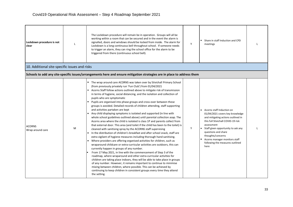| Lockdown procedure is not<br>clear            |   | The Lockdown procedure will remain be in operation. Groups will all be<br>working within a room that can be secured and in the event the alarm is<br>signalled, doors and windows should be locked from inside. The alarm for<br>Lockdown is a long continuous bell throughout school. If someone needs<br>to trigger an alarm, they can ring the school office for the alarm to be<br>triggered from there (continuous school bell).                                                                                                                                                                                                                                                                                                                                                                                                                                                                                                                                                                                                                                                                                                                                                                                                                                                                                                                                                                                                                                                                                                                                                                                                                                                                                                                          | Y | Share in staff Induction and CPD<br>meetings                                                                                                                                                                                                                                                                         |  |
|-----------------------------------------------|---|----------------------------------------------------------------------------------------------------------------------------------------------------------------------------------------------------------------------------------------------------------------------------------------------------------------------------------------------------------------------------------------------------------------------------------------------------------------------------------------------------------------------------------------------------------------------------------------------------------------------------------------------------------------------------------------------------------------------------------------------------------------------------------------------------------------------------------------------------------------------------------------------------------------------------------------------------------------------------------------------------------------------------------------------------------------------------------------------------------------------------------------------------------------------------------------------------------------------------------------------------------------------------------------------------------------------------------------------------------------------------------------------------------------------------------------------------------------------------------------------------------------------------------------------------------------------------------------------------------------------------------------------------------------------------------------------------------------------------------------------------------------|---|----------------------------------------------------------------------------------------------------------------------------------------------------------------------------------------------------------------------------------------------------------------------------------------------------------------------|--|
| 10. Additional site-specific issues and risks |   |                                                                                                                                                                                                                                                                                                                                                                                                                                                                                                                                                                                                                                                                                                                                                                                                                                                                                                                                                                                                                                                                                                                                                                                                                                                                                                                                                                                                                                                                                                                                                                                                                                                                                                                                                                |   |                                                                                                                                                                                                                                                                                                                      |  |
|                                               |   | Schools to add any site-specific issues/arrangements here and ensure mitigation strategies are in place to address them                                                                                                                                                                                                                                                                                                                                                                                                                                                                                                                                                                                                                                                                                                                                                                                                                                                                                                                                                                                                                                                                                                                                                                                                                                                                                                                                                                                                                                                                                                                                                                                                                                        |   |                                                                                                                                                                                                                                                                                                                      |  |
| <b>ACORNS</b><br>Wrap around care             | M | • The wrap around care ACORNS was taken over by Stivichall Primary School<br>(from previously privately run 'Fun Club') from 01/04/2021<br>Acorns Staff follow actions outlined above to mitigate risk of transmission<br>in terms of hygiene, social distancing, and the isolation and collection of<br>pupils who are symptomatic<br>Pupils are organised into phase groups and cross-over between these<br>groups is avoided. Detailed records of children attending, staff supporting<br>and activities partaken are kept<br>Any child displaying symptoms is isolated and supported (in line with<br>whole school guidelines outlined above) until parental collection asap. The<br>Acorns area where the child is isolated is class 1P and parents collect from<br>that external door. This area (and toilet if the child has been to the toilet) is<br>cleaned with sanitising spray by the ACORNS staff supervising<br>In the distribution of children's breakfast and after school snack, staff are<br>extra vigilant of hygiene measures including thorough hand sanitising.<br>Where providers are offering organised activities for children, such as<br>wraparound childcare or extra-curricular activities are outdoors, this can<br>currently happen in groups of any number.<br>From 17 May 2021, in line with the commencement of Step 3 of the<br>roadmap, where wraparound and other extra-curricular activities for<br>children are taking place indoors, they will be able to take place in groups<br>of any number. However, it remains important to continue to minimise<br>mixing between children, where possible. This can be achieved by<br>continuing to keep children in consistent groups every time they attend<br>the setting. | Y | Acorns staff Induction on<br>01/04/2021 covers key knowledge<br>and mitigating actions outlined in<br>this full Stivichall COVID-19 risk<br>assessment<br>Staff given opportunity to ask any<br>questions and share<br>thoughts/concerns<br>Acorns manager monitors staff<br>following the measures outlined<br>here |  |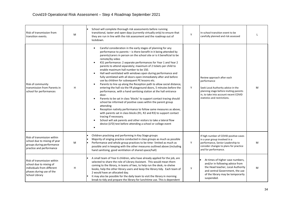| Risk of transmission from<br>transition events.                                                                                    | M | School will complete thorough risk assessments before running<br>transitional, taster and open days (currently virtually only) to ensure that<br>they are run in line with the risk assessment and the roadmap out of<br>lockdown.                                                                                                                                                                                                                                                                                                                                                                                                                                                                                                                                                                                                                                                                                                                                                                                                                                                                                                                                                                                                                                                                                                                                       | Y | In-school transition event to be<br>carefully planned and risk assessed                                                                                                                            |   |
|------------------------------------------------------------------------------------------------------------------------------------|---|--------------------------------------------------------------------------------------------------------------------------------------------------------------------------------------------------------------------------------------------------------------------------------------------------------------------------------------------------------------------------------------------------------------------------------------------------------------------------------------------------------------------------------------------------------------------------------------------------------------------------------------------------------------------------------------------------------------------------------------------------------------------------------------------------------------------------------------------------------------------------------------------------------------------------------------------------------------------------------------------------------------------------------------------------------------------------------------------------------------------------------------------------------------------------------------------------------------------------------------------------------------------------------------------------------------------------------------------------------------------------|---|----------------------------------------------------------------------------------------------------------------------------------------------------------------------------------------------------|---|
| Risk of community<br>transmission from Parents in<br>school for performances                                                       | н | Careful consideration in the early stages of planning for any<br>$\blacksquare$<br>performance to parents - is there benefit in it being attended by<br>parents/carers in person on the school site or is it beneficial to be<br>remote/by video<br>$\blacksquare$<br>KS1 performance: 2 separate performances for Year 1 and Year 2<br>parents to attend separately; maximum of 2 tickets per child to<br>enable maximum hall number to be 150.<br>Hall well-ventilated with windows open during performance and<br>$\blacksquare$<br>fully ventilated with all doors open immediately after and before<br>use by children for subsequent PE lessons etc.<br>Parents to line up along the Reception path to allow social distance,<br>entering the hall via the YR playground doors, 5 minutes before the<br>performance, with a hand sanitising station at the hall entrance<br>door.<br>Parents to be sat in class 'blocks' to support contact tracing should<br>school be informed of positive cases within the parent group<br>attending<br>Reception nativity performance to follow same measures as above,<br>with parents sat in class blocks (R1, R2 and R3) to support contact<br>tracing if necessary.<br>School will ask parents and other visitors to take a lateral flow<br>$\blacksquare$<br>device (LFD) test before attending a school or college event | Υ | Review approach after each<br>performance<br>Seek Local Authority advice in the<br>planning stage before inviting parents<br>in, to take into account recent COVID<br>statistics and restrictions. | M |
| Risk of transmission within<br>school due to mixing of year<br>groups during performance<br>practice and performance               | M | Children practising and performing in Key Stage groups<br>Majority of singing practice conducted in class groups as much as possible<br>Performance and whole group practices to be time-limited as much as<br>possible and in keeping with the other measures outlined above (including<br>hand sanitising, good ventilation of shared space/hall)                                                                                                                                                                                                                                                                                                                                                                                                                                                                                                                                                                                                                                                                                                                                                                                                                                                                                                                                                                                                                      | Y | If high number of COVID positive cases<br>in a year group involved in a<br>performance, Senior Leadership to<br>consider changes to plans for practice<br>and for performance.                     | M |
| Risk of transmission within<br>school due to mixing of<br>individuals from different<br>phases during use of the<br>School Library | H | A small team of Year 6 children, who have already applied for the job, are<br>selected to share the role of Library Assistant. This would mean them<br>coming to the library, in teams of two, to help run the desk, re-shelve<br>books, help the other library users and keep the library tidy. Each team of<br>2 would have an allocated day.<br>It may also be possible for the daily team to visit the library in morning<br>break to tidy and prepare the library for lunchtime use. This is dependent                                                                                                                                                                                                                                                                                                                                                                                                                                                                                                                                                                                                                                                                                                                                                                                                                                                              | у | At times of higher case numbers,<br>and/or in following advice from<br>the Head teacher, Local Authority<br>and central Government, the use<br>of the library may be temporarily<br>suspended.     | M |